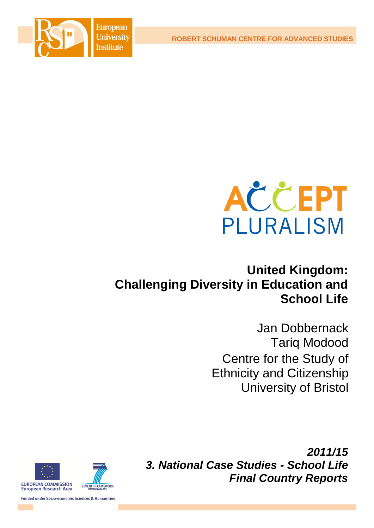**ROBERT SCHUMAN CENTRE FOR ADVANCED STUDIES**





# **United Kingdom: Challenging Diversity in Education and School Life**

Jan Dobbernack Tariq Modood Centre for the Study of Ethnicity and Citizenship University of Bristol

*2011/15 3. National Case Studies - School Life Final Country Reports*



**Funded under Socio-economic Sciences & Humanities**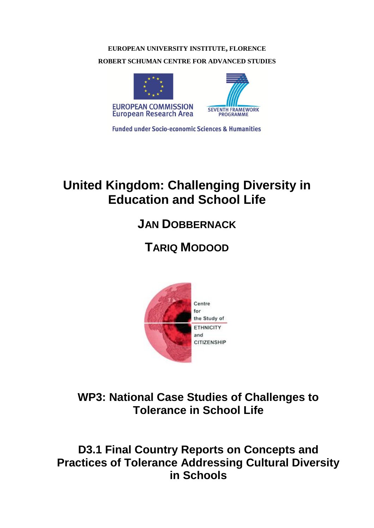# **EUROPEAN UNIVERSITY INSTITUTE, FLORENCE ROBERT SCHUMAN CENTRE FOR ADVANCED STUDIES**



**Funded under Socio-economic Sciences & Humanities** 

# **United Kingdom: Challenging Diversity in Education and School Life**

# **JAN DOBBERNACK**

# **TARIQ MODOOD**



**WP3: National Case Studies of Challenges to Tolerance in School Life**

**D3.1 Final Country Reports on Concepts and Practices of Tolerance Addressing Cultural Diversity in Schools**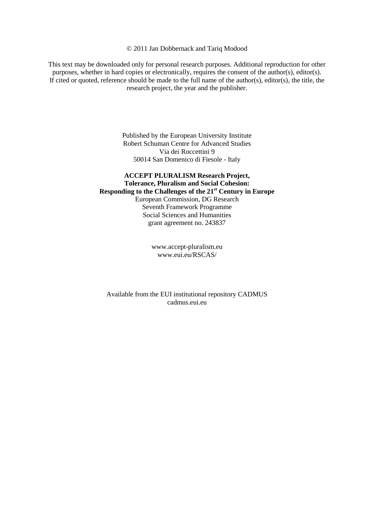#### © 2011 Jan Dobbernack and Tariq Modood

This text may be downloaded only for personal research purposes. Additional reproduction for other purposes, whether in hard copies or electronically, requires the consent of the author(s), editor(s). If cited or quoted, reference should be made to the full name of the author(s), editor(s), the title, the research project, the year and the publisher.

> Published by the European University Institute Robert Schuman Centre for Advanced Studies Via dei Roccettini 9 50014 San Domenico di Fiesole - Italy

#### **ACCEPT PLURALISM Research Project, Tolerance, Pluralism and Social Cohesion: Responding to the Challenges of the 21st Century in Europe**  European Commission, DG Research Seventh Framework Programme Social Sciences and Humanities grant agreement no. 243837

[www.accept-pluralism.eu](http://www.accept-pluralism.eu/) [www.eui.eu/RSCAS/](http://www.eui.eu/RSCAS/)

Available from the EUI institutional repository CADMUS cadmus.eui.eu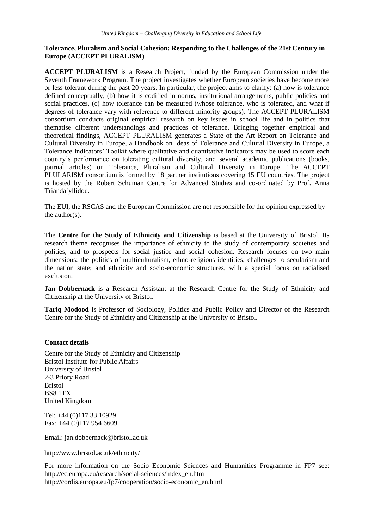#### **Tolerance, Pluralism and Social Cohesion: Responding to the Challenges of the 21st Century in Europe (ACCEPT PLURALISM)**

**ACCEPT PLURALISM** is a Research Project, funded by the European Commission under the Seventh Framework Program. The project investigates whether European societies have become more or less tolerant during the past 20 years. In particular, the project aims to clarify: (a) how is tolerance defined conceptually, (b) how it is codified in norms, institutional arrangements, public policies and social practices, (c) how tolerance can be measured (whose tolerance, who is tolerated, and what if degrees of tolerance vary with reference to different minority groups). The ACCEPT PLURALISM consortium conducts original empirical research on key issues in school life and in politics that thematise different understandings and practices of tolerance. Bringing together empirical and theoretical findings, ACCEPT PLURALISM generates a State of the Art Report on Tolerance and Cultural Diversity in Europe, a Handbook on Ideas of Tolerance and Cultural Diversity in Europe, a Tolerance Indicators' Toolkit where qualitative and quantitative indicators may be used to score each country's performance on tolerating cultural diversity, and several academic publications (books, journal articles) on Tolerance, Pluralism and Cultural Diversity in Europe. The ACCEPT PLULARISM consortium is formed by 18 partner institutions covering 15 EU countries. The project is hosted by the Robert Schuman Centre for Advanced Studies and co-ordinated by Prof. Anna Triandafyllidou.

The EUI, the RSCAS and the European Commission are not responsible for the opinion expressed by the author(s).

The **Centre for the Study of Ethnicity and Citizenship** is based at the University of Bristol. Its research theme recognises the importance of ethnicity to the study of contemporary societies and polities, and to prospects for social justice and social cohesion. Research focuses on two main dimensions: the politics of multiculturalism, ethno-religious identities, challenges to secularism and the nation state; and ethnicity and socio-economic structures, with a special focus on racialised exclusion.

**Jan Dobbernack** is a Research Assistant at the Research Centre for the Study of Ethnicity and Citizenship at the University of Bristol.

**Tariq Modood** is Professor of Sociology, Politics and Public Policy and Director of the Research Centre for the Study of Ethnicity and Citizenship at the University of Bristol.

#### **Contact details**

Centre for the Study of Ethnicity and Citizenship Bristol Institute for Public Affairs University of Bristol 2-3 Priory Road Bristol BS8 1TX United Kingdom

Tel: +44 (0)117 33 10929 Fax: +44 (0)117 954 6609

Email: jan.dobbernack@bristol.ac.uk

<http://www.bristol.ac.uk/ethnicity/>

For more information on the Socio Economic Sciences and Humanities Programme in FP7 see: [http://ec.europa.eu/research/social-sciences/index\\_en.htm](http://ec.europa.eu/research/social-sciences/index_en.htm) [http://cordis.europa.eu/fp7/cooperation/socio-economic\\_en.html](http://cordis.europa.eu/fp7/cooperation/socio-economic_en.html)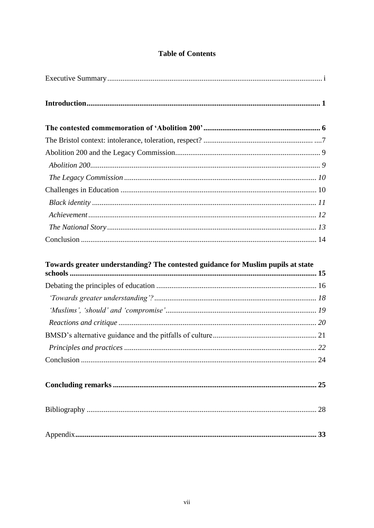# **Table of Contents**

| Towards greater understanding? The contested guidance for Muslim pupils at state |  |
|----------------------------------------------------------------------------------|--|
|                                                                                  |  |
|                                                                                  |  |
|                                                                                  |  |
|                                                                                  |  |
|                                                                                  |  |
|                                                                                  |  |
|                                                                                  |  |
|                                                                                  |  |
|                                                                                  |  |
|                                                                                  |  |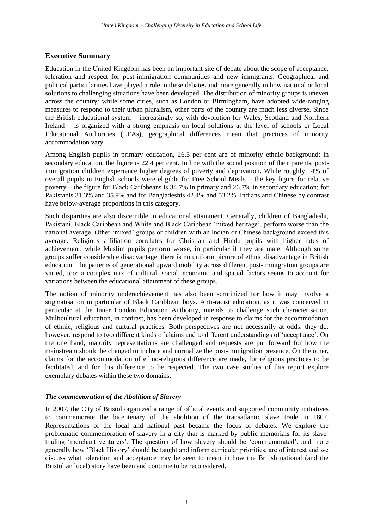# <span id="page-8-0"></span>**Executive Summary**

Education in the United Kingdom has been an important site of debate about the scope of acceptance, toleration and respect for post-immigration communities and new immigrants. Geographical and political particularities have played a role in these debates and more generally in how national or local solutions to challenging situations have been developed. The distribution of minority groups is uneven across the country: while some cities, such as London or Birmingham, have adopted wide-ranging measures to respond to their urban pluralism, other parts of the country are much less diverse. Since the British educational system – increasingly so, with devolution for Wales, Scotland and Northern Ireland – is organized with a strong emphasis on local solutions at the level of schools or Local Educational Authorities (LEAs), geographical differences mean that practices of minority accommodation vary.

Among English pupils in primary education, 26.5 per cent are of minority ethnic background; in secondary education, the figure is 22.4 per cent. In line with the social position of their parents, postimmigration children experience higher degrees of poverty and deprivation. While roughly 14% of overall pupils in English schools were eligible for Free School Meals – the key figure for relative poverty – the figure for Black Caribbeans is 34.7% in primary and 26.7% in secondary education; for Pakistanis 31.3% and 35.9% and for Bangladeshis 42.4% and 53.2%. Indians and Chinese by contrast have below-average proportions in this category.

Such disparities are also discernible in educational attainment. Generally, children of Bangladeshi, Pakistani, Black Caribbean and White and Black Caribbean 'mixed heritage', perform worse than the national average. Other 'mixed' groups or children with an Indian or Chinese background exceed this average. Religious affiliation correlates for Christian and Hindu pupils with higher rates of achievement, while Muslim pupils perform worse, in particular if they are male. Although some groups suffer considerable disadvantage, there is no uniform picture of ethnic disadvantage in British education. The patterns of generational upward mobility across different post-immigration groups are varied, too: a complex mix of cultural, social, economic and spatial factors seems to account for variations between the educational attainment of these groups.

The notion of minority underachievement has also been scrutinized for how it may involve a stigmatisation in particular of Black Caribbean boys. Anti-racist education, as it was conceived in particular at the Inner London Education Authority, intends to challenge such characterisation. Multicultural education, in contrast, has been developed in response to claims for the accommodation of ethnic, religious and cultural practices. Both perspectives are not necessarily at odds: they do, however, respond to two different kinds of claims and to different understandings of 'acceptance'. On the one hand, majority representations are challenged and requests are put forward for how the mainstream should be changed to include and normalize the post-immigration presence. On the other, claims for the accommodation of ethno-religious difference are made, for religious practices to be facilitated, and for this difference to be respected. The two case studies of this report explore exemplary debates within these two domains.

### *The commemoration of the Abolition of Slavery*

In 2007, the City of Bristol organized a range of official events and supported community initiatives to commemorate the bicentenary of the abolition of the transatlantic slave trade in 1807. Representations of the local and national past became the focus of debates. We explore the problematic commemoration of slavery in a city that is marked by public memorials for its slavetrading 'merchant venturers'. The question of how slavery should be 'commemorated', and more generally how 'Black History' should be taught and inform curricular priorities, are of interest and we discuss what toleration and acceptance may be seen to mean in how the British national (and the Bristolian local) story have been and continue to be reconsidered.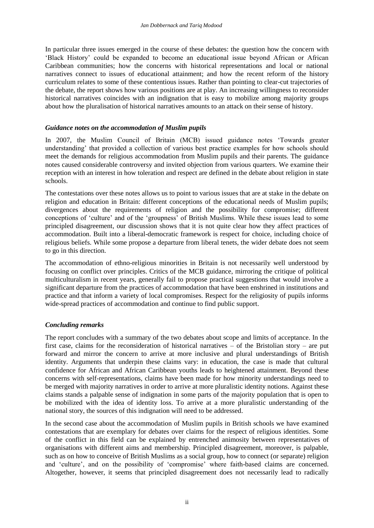In particular three issues emerged in the course of these debates: the question how the concern with 'Black History' could be expanded to become an educational issue beyond African or African Caribbean communities; how the concerns with historical representations and local or national narratives connect to issues of educational attainment; and how the recent reform of the history curriculum relates to some of these contentious issues. Rather than pointing to clear-cut trajectories of the debate, the report shows how various positions are at play. An increasing willingness to reconsider historical narratives coincides with an indignation that is easy to mobilize among majority groups about how the pluralisation of historical narratives amounts to an attack on their sense of history.

#### *Guidance notes on the accommodation of Muslim pupils*

In 2007, the Muslim Council of Britain (MCB) issued guidance notes 'Towards greater understanding' that provided a collection of various best practice examples for how schools should meet the demands for religious accommodation from Muslim pupils and their parents. The guidance notes caused considerable controversy and invited objection from various quarters. We examine their reception with an interest in how toleration and respect are defined in the debate about religion in state schools.

The contestations over these notes allows us to point to various issues that are at stake in the debate on religion and education in Britain: different conceptions of the educational needs of Muslim pupils; divergences about the requirements of religion and the possibility for compromise; different conceptions of 'culture' and of the 'groupness' of British Muslims. While these issues lead to some principled disagreement, our discussion shows that it is not quite clear how they affect practices of accommodation. Built into a liberal-democratic framework is respect for choice, including choice of religious beliefs. While some propose a departure from liberal tenets, the wider debate does not seem to go in this direction.

The accommodation of ethno-religious minorities in Britain is not necessarily well understood by focusing on conflict over principles. Critics of the MCB guidance, mirroring the critique of political multiculturalism in recent years, generally fail to propose practical suggestions that would involve a significant departure from the practices of accommodation that have been enshrined in institutions and practice and that inform a variety of local compromises. Respect for the religiosity of pupils informs wide-spread practices of accommodation and continue to find public support.

### *Concluding remarks*

The report concludes with a summary of the two debates about scope and limits of acceptance. In the first case, claims for the reconsideration of historical narratives – of the Bristolian story – are put forward and mirror the concern to arrive at more inclusive and plural understandings of British identity. Arguments that underpin these claims vary: in education, the case is made that cultural confidence for African and African Caribbean youths leads to heightened attainment. Beyond these concerns with self-representations, claims have been made for how minority understandings need to be merged with majority narratives in order to arrive at more pluralistic identity notions. Against these claims stands a palpable sense of indignation in some parts of the majority population that is open to be mobilized with the idea of identity loss. To arrive at a more pluralistic understanding of the national story, the sources of this indignation will need to be addressed.

In the second case about the accommodation of Muslim pupils in British schools we have examined contestations that are exemplary for debates over claims for the respect of religious identities. Some of the conflict in this field can be explained by entrenched animosity between representatives of organisations with different aims and membership. Principled disagreement, moreover, is palpable, such as on how to conceive of British Muslims as a social group, how to connect (or separate) religion and 'culture', and on the possibility of 'compromise' where faith-based claims are concerned. Altogether, however, it seems that principled disagreement does not necessarily lead to radically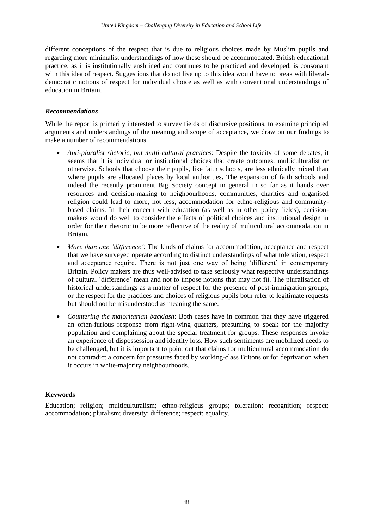different conceptions of the respect that is due to religious choices made by Muslim pupils and regarding more minimalist understandings of how these should be accommodated. British educational practice, as it is institutionally enshrined and continues to be practiced and developed, is consonant with this idea of respect. Suggestions that do not live up to this idea would have to break with liberaldemocratic notions of respect for individual choice as well as with conventional understandings of education in Britain.

#### *Recommendations*

While the report is primarily interested to survey fields of discursive positions, to examine principled arguments and understandings of the meaning and scope of acceptance, we draw on our findings to make a number of recommendations.

- *Anti-pluralist rhetoric, but multi-cultural practices*: Despite the toxicity of some debates, it seems that it is individual or institutional choices that create outcomes, multiculturalist or otherwise. Schools that choose their pupils, like faith schools, are less ethnically mixed than where pupils are allocated places by local authorities. The expansion of faith schools and indeed the recently prominent Big Society concept in general in so far as it hands over resources and decision-making to neighbourhoods, communities, charities and organised religion could lead to more, not less, accommodation for ethno-religious and communitybased claims. In their concern with education (as well as in other policy fields), decisionmakers would do well to consider the effects of political choices and institutional design in order for their rhetoric to be more reflective of the reality of multicultural accommodation in Britain.
- *More than one 'difference'*: The kinds of claims for accommodation, acceptance and respect that we have surveyed operate according to distinct understandings of what toleration, respect and acceptance require. There is not just one way of being 'different' in contemporary Britain. Policy makers are thus well-advised to take seriously what respective understandings of cultural 'difference' mean and not to impose notions that may not fit. The pluralisation of historical understandings as a matter of respect for the presence of post-immigration groups, or the respect for the practices and choices of religious pupils both refer to legitimate requests but should not be misunderstood as meaning the same.
- *Countering the majoritarian backlash*: Both cases have in common that they have triggered an often-furious response from right-wing quarters, presuming to speak for the majority population and complaining about the special treatment for groups. These responses invoke an experience of dispossession and identity loss. How such sentiments are mobilized needs to be challenged, but it is important to point out that claims for multicultural accommodation do not contradict a concern for pressures faced by working-class Britons or for deprivation when it occurs in white-majority neighbourhoods.

### **Keywords**

Education; religion; multiculturalism; ethno-religious groups; toleration; recognition; respect; accommodation; pluralism; diversity; difference; respect; equality.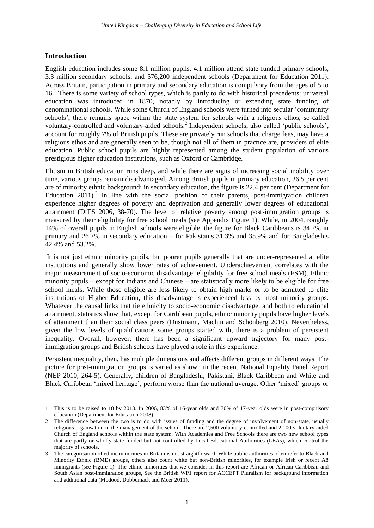## <span id="page-12-0"></span>**Introduction**

1

English education includes some 8.1 million pupils. 4.1 million attend state-funded primary schools, 3.3 million secondary schools, and 576,200 independent schools (Department for Education 2011). Across Britain, participation in primary and secondary education is compulsory from the ages of 5 to 16.<sup>1</sup> There is some variety of school types, which is partly to do with historical precedents: universal education was introduced in 1870, notably by introducing or extending state funding of denominational schools. While some Church of England schools were turned into secular 'community schools', there remains space within the state system for schools with a religious ethos, so-called voluntary-controlled and voluntary-aided schools.<sup>2</sup> Independent schools, also called 'public schools', account for roughly 7% of British pupils. These are privately run schools that charge fees, may have a religious ethos and are generally seen to be, though not all of them in practice are, providers of elite education. Public school pupils are highly represented among the student population of various prestigious higher education institutions, such as Oxford or Cambridge.

Elitism in British education runs deep, and while there are signs of increasing social mobility over time, various groups remain disadvantaged. Among British pupils in primary education, 26.5 per cent are of minority ethnic background; in secondary education, the figure is 22.4 per cent (Department for Education 2011).<sup>3</sup> In line with the social position of their parents, post-immigration children experience higher degrees of poverty and deprivation and generally lower degrees of educational attainment (DfES 2006, 38-70). The level of relative poverty among post-immigration groups is measured by their eligibility for free school meals (see Appendix Figure 1). While, in 2004, roughly 14% of overall pupils in English schools were eligible, the figure for Black Caribbeans is 34.7% in primary and 26.7% in secondary education – for Pakistanis 31.3% and 35.9% and for Bangladeshis 42.4% and 53.2%.

It is not just ethnic minority pupils, but poorer pupils generally that are under-represented at elite institutions and generally show lower rates of achievement. Underachievement correlates with the major measurement of socio-economic disadvantage, eligibility for free school meals (FSM). Ethnic minority pupils – except for Indians and Chinese – are statistically more likely to be eligible for free school meals. While those eligible are less likely to obtain high marks or to be admitted to elite institutions of Higher Education, this disadvantage is experienced less by most minority groups. Whatever the causal links that tie ethnicity to socio-economic disadvantage, and both to educational attainment, statistics show that, except for Caribbean pupils, ethnic minority pupils have higher levels of attainment than their social class peers (Dustmann, Machin and Schönberg 2010). Nevertheless, given the low levels of qualifications some groups started with, there is a problem of persistent inequality. Overall, however, there has been a significant upward trajectory for many postimmigration groups and British schools have played a role in this experience.

Persistent inequality, then, has multiple dimensions and affects different groups in different ways. The picture for post-immigration groups is varied as shown in the recent National Equality Panel Report (NEP 2010, 264-5). Generally, children of Bangladeshi, Pakistani, Black Caribbean and White and Black Caribbean 'mixed heritage', perform worse than the national average. Other 'mixed' groups or

<sup>1</sup> This is to be raised to 18 by 2013. In 2006, 83% of 16-year olds and 70% of 17-year olds were in post-compulsory education (Department for Education 2008).

<sup>2</sup> The difference between the two is to do with issues of funding and the degree of involvement of non-state, usually religious organisation in the management of the school. There are 2,500 voluntary-controlled and 2,100 voluntary-aided Church of England schools within the state system. With Academies and Free Schools there are two new school types that are partly or wholly state funded but not controlled by Local Educational Authorities (LEAs), which control the majority of schools.

<sup>3</sup> The categorisation of ethnic minorities in Britain is not straightforward. While public authorities often refer to Black and Minority Ethnic (BME) groups, others also count white but non-British minorities, for example Irish or recent A8 immigrants (see Figure 1). The ethnic minorities that we consider in this report are African or African-Caribbean and South Asian post-immigration groups, See the British WP1 report for ACCEPT Pluralism for background information and additional data (Modood, Dobbernack and Meer 2011).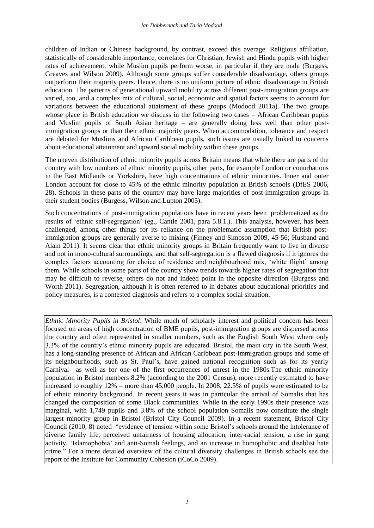children of Indian or Chinese background, by contrast, exceed this average. Religious affiliation, statistically of considerable importance, correlates for Christian, Jewish and Hindu pupils with higher rates of achievement, while Muslim pupils perform worse, in particular if they are male (Burgess, Greaves and Wilson 2009). Although some groups suffer considerable disadvantage, others groups outperform their majority peers. Hence, there is no uniform picture of ethnic disadvantage in British education. The patterns of generational upward mobility across different post-immigration groups are varied, too, and a complex mix of cultural, social, economic and spatial factors seems to account for variations between the educational attainment of these groups (Modood 2011a). The two groups whose place in British education we discuss in the following two cases – African Caribbean pupils and Muslim pupils of South Asian heritage – are generally doing less well than other postimmigration groups or than their ethnic majority peers. When accommodation, tolerance and respect are debated for Muslims and African Caribbean pupils, such issues are usually linked to concerns about educational attainment and upward social mobility within these groups.

The uneven distribution of ethnic minority pupils across Britain means that while there are parts of the country with low numbers of ethnic minority pupils, other parts, for example London or conurbations in the East Midlands or Yorkshire, have high concentrations of ethnic minorities. Inner and outer London account for close to 45% of the ethnic minority population at British schools (DfES 2006, 28). Schools in these parts of the country may have large majorities of post-immigration groups in their student bodies (Burgess, Wilson and Lupton 2005).

Such concentrations of post-immigration populations have in recent years been problematized as the results of 'ethnic self-segregation' (eg., Cantle 2001, para 5.8.1.). This analysis, however, has been challenged, among other things for its reliance on the problematic assumption that British postimmigration groups are generally averse to mixing (Finney and Simpson 2009, 45-56; Husband and Alam 2011). It seems clear that ethnic minority groups in Britain frequently want to live in diverse and not in mono-cultural surroundings, and that self-segregation is a flawed diagnosis if it ignores the complex factors accounting for choice of residence and neighbourhood mix, 'white flight' among them. While schools in some parts of the country show trends towards higher rates of segregation that may be difficult to reverse, others do not and indeed point in the opposite direction (Burgess and Worth 2011). Segregation, although it is often referred to in debates about educational priorities and policy measures, is a contested diagnosis and refers to a complex social situation.

*Ethnic Minority Pupils in Bristol*: While much of scholarly interest and political concern has been focused on areas of high concentration of BME pupils, post-immigration groups are dispersed across the country and often represented in smaller numbers, such as the English South West where only 3.3% of the country's ethnic minority pupils are educated. Bristol, the main city in the South West, has a long-standing presence of African and African Caribbean post-immigration groups and some of its neighbourhoods, such as St. Paul's, have gained national recognition such as for its yearly Carnival—as well as for one of the first occurrences of unrest in the 1980s.The ethnic minority population in Bristol numbers 8.2% (according to the 2001 Census), more recently estimated to have increased to roughly 12% – more than 45,000 people. In 2008, 22.5% of pupils were estimated to be of ethnic minority background. In recent years it was in particular the arrival of Somalis that has changed the composition of some Black communities. While in the early 1990s their presence was marginal, with 1,749 pupils and 3.8% of the school population Somalis now constitute the single largest minority group in Bristol (Bristol City Council 2009). In a recent statement, Bristol City Council (2010, 8) noted "evidence of tension within some Bristol's schools around the intolerance of diverse family life, perceived unfairness of housing allocation, inter-racial tension, a rise in gang activity, 'Islamophobia' and anti-Somali feelings, and an increase in homophobic and disablist hate crime." For a more detailed overview of the cultural diversity challenges in British schools see the report of the Institute for Community Cohesion (iCoCo 2009).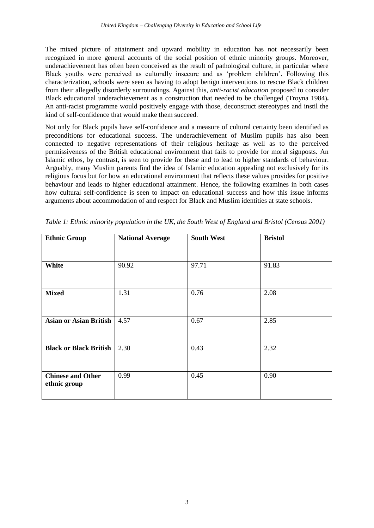The mixed picture of attainment and upward mobility in education has not necessarily been recognized in more general accounts of the social position of ethnic minority groups. Moreover, underachievement has often been conceived as the result of pathological culture, in particular where Black youths were perceived as culturally insecure and as 'problem children'. Following this characterization, schools were seen as having to adopt benign interventions to rescue Black children from their allegedly disorderly surroundings. Against this, *anti-racist education* proposed to consider Black educational underachievement as a construction that needed to be challenged (Troyna 1984)**.**  An anti-racist programme would positively engage with those, deconstruct stereotypes and instil the kind of self-confidence that would make them succeed.

Not only for Black pupils have self-confidence and a measure of cultural certainty been identified as preconditions for educational success. The underachievement of Muslim pupils has also been connected to negative representations of their religious heritage as well as to the perceived permissiveness of the British educational environment that fails to provide for moral signposts. An Islamic ethos, by contrast, is seen to provide for these and to lead to higher standards of behaviour. Arguably, many Muslim parents find the idea of Islamic education appealing not exclusively for its religious focus but for how an educational environment that reflects these values provides for positive behaviour and leads to higher educational attainment. Hence, the following examines in both cases how cultural self-confidence is seen to impact on educational success and how this issue informs arguments about accommodation of and respect for Black and Muslim identities at state schools.

| <b>Ethnic Group</b>                      | <b>National Average</b> | <b>South West</b> | <b>Bristol</b> |
|------------------------------------------|-------------------------|-------------------|----------------|
|                                          |                         |                   |                |
| White                                    | 90.92                   | 97.71             | 91.83          |
|                                          |                         |                   |                |
| <b>Mixed</b>                             | 1.31                    | 0.76              | 2.08           |
| <b>Asian or Asian British</b>            | 4.57                    | 0.67              | 2.85           |
| <b>Black or Black British</b>            | 2.30                    | 0.43              | 2.32           |
| <b>Chinese and Other</b><br>ethnic group | 0.99                    | 0.45              | 0.90           |

*Table 1: Ethnic minority population in the UK, the South West of England and Bristol (Census 2001)*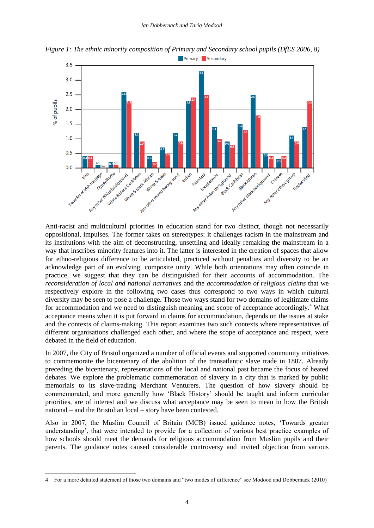

*Figure 1: The ethnic minority composition of Primary and Secondary school pupils (DfES 2006, 8)* Primary Secondary

Anti-racist and multicultural priorities in education stand for two distinct, though not necessarily oppositional, impulses. The former takes on stereotypes: it challenges racism in the mainstream and its institutions with the aim of deconstructing, unsettling and ideally remaking the mainstream in a way that inscribes minority features into it. The latter is interested in the creation of spaces that allow for ethno-religious difference to be articulated, practiced without penalties and diversity to be an acknowledge part of an evolving, composite unity. While both orientations may often coincide in practice, we suggest that they can be distinguished for their accounts of accommodation. The *reconsideration of local and national narratives* and the *accommodation of religious claims* that we respectively explore in the following two cases thus correspond to two ways in which cultural diversity may be seen to pose a challenge. Those two ways stand for two domains of legitimate claims for accommodation and we need to distinguish meaning and scope of acceptance accordingly.<sup>4</sup> What acceptance means when it is put forward in claims for accommodation, depends on the issues at stake and the contexts of claims-making. This report examines two such contexts where representatives of different organisations challenged each other, and where the scope of acceptance and respect, were debated in the field of education.

In 2007, the City of Bristol organized a number of official events and supported community initiatives to commemorate the bicentenary of the abolition of the transatlantic slave trade in 1807. Already preceding the bicentenary, representations of the local and national past became the focus of heated debates. We explore the problematic commemoration of slavery in a city that is marked by public memorials to its slave-trading Merchant Venturers. The question of how slavery should be commemorated, and more generally how 'Black History' should be taught and inform curricular priorities, are of interest and we discuss what acceptance may be seen to mean in how the British national – and the Bristolian local – story have been contested.

Also in 2007, the Muslim Council of Britain (MCB) issued guidance notes, 'Towards greater understanding', that were intended to provide for a collection of various best practice examples of how schools should meet the demands for religious accommodation from Muslim pupils and their parents. The guidance notes caused considerable controversy and invited objection from various

-

<sup>4</sup> For a more detailed statement of those two domains and "two modes of difference" see Modood and Dobbernack (2010)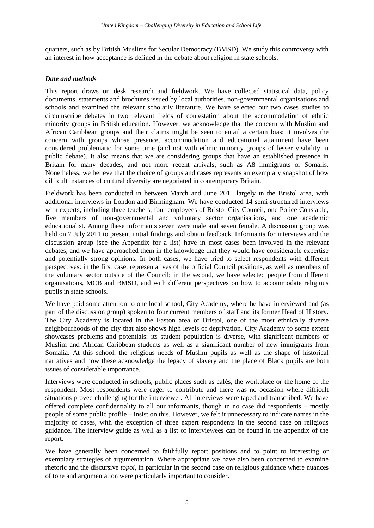quarters, such as by British Muslims for Secular Democracy (BMSD). We study this controversy with an interest in how acceptance is defined in the debate about religion in state schools.

#### *Date and methods*

This report draws on desk research and fieldwork. We have collected statistical data, policy documents, statements and brochures issued by local authorities, non-governmental organisations and schools and examined the relevant scholarly literature. We have selected our two cases studies to circumscribe debates in two relevant fields of contestation about the accommodation of ethnic minority groups in British education. However, we acknowledge that the concern with Muslim and African Caribbean groups and their claims might be seen to entail a certain bias: it involves the concern with groups whose presence, accommodation and educational attainment have been considered problematic for some time (and not with ethnic minority groups of lesser visibility in public debate). It also means that we are considering groups that have an established presence in Britain for many decades, and not more recent arrivals, such as A8 immigrants or Somalis. Nonetheless, we believe that the choice of groups and cases represents an exemplary snapshot of how difficult instances of cultural diversity are negotiated in contemporary Britain.

Fieldwork has been conducted in between March and June 2011 largely in the Bristol area, with additional interviews in London and Birmingham. We have conducted 14 semi-structured interviews with experts, including three teachers, four employees of Bristol City Council, one Police Constable, five members of non-governmental and voluntary sector organisations, and one academic educationalist. Among these informants seven were male and seven female. A discussion group was held on 7 July 2011 to present initial findings and obtain feedback. Informants for interviews and the discussion group (see the Appendix for a list) have in most cases been involved in the relevant debates, and we have approached them in the knowledge that they would have considerable expertise and potentially strong opinions. In both cases, we have tried to select respondents with different perspectives: in the first case, representatives of the official Council positions, as well as members of the voluntary sector outside of the Council; in the second, we have selected people from different organisations, MCB and BMSD, and with different perspectives on how to accommodate religious pupils in state schools.

We have paid some attention to one local school, City Academy, where he have interviewed and (as part of the discussion group) spoken to four current members of staff and its former Head of History. The City Academy is located in the Easton area of Bristol, one of the most ethnically diverse neighbourhoods of the city that also shows high levels of deprivation. City Academy to some extent showcases problems and potentials: its student population is diverse, with significant numbers of Muslim and African Caribbean students as well as a significant number of new immigrants from Somalia. At this school, the religious needs of Muslim pupils as well as the shape of historical narratives and how these acknowledge the legacy of slavery and the place of Black pupils are both issues of considerable importance.

Interviews were conducted in schools, public places such as cafés, the workplace or the home of the respondent. Most respondents were eager to contribute and there was no occasion where difficult situations proved challenging for the interviewer. All interviews were taped and transcribed. We have offered complete confidentiality to all our informants, though in no case did respondents – mostly people of some public profile – insist on this. However, we felt it unnecessary to indicate names in the majority of cases, with the exception of three expert respondents in the second case on religious guidance. The interview guide as well as a list of interviewees can be found in the appendix of the report.

We have generally been concerned to faithfully report positions and to point to interesting or exemplary strategies of argumentation. Where appropriate we have also been concerned to examine rhetoric and the discursive *topoi*, in particular in the second case on religious guidance where nuances of tone and argumentation were particularly important to consider.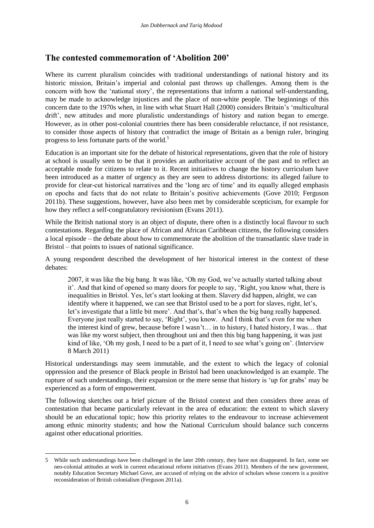# <span id="page-17-0"></span>**The contested commemoration of 'Abolition 200'**

Where its current pluralism coincides with traditional understandings of national history and its historic mission, Britain's imperial and colonial past throws up challenges. Among them is the concern with how the 'national story', the representations that inform a national self-understanding, may be made to acknowledge injustices and the place of non-white people. The beginnings of this concern date to the 1970s when, in line with what Stuart Hall (2000) considers Britain's 'multicultural drift', new attitudes and more pluralistic understandings of history and nation began to emerge. However, as in other post-colonial countries there has been considerable reluctance, if not resistance, to consider those aspects of history that contradict the image of Britain as a benign ruler, bringing progress to less fortunate parts of the world. 5

Education is an important site for the debate of historical representations, given that the role of history at school is usually seen to be that it provides an authoritative account of the past and to reflect an acceptable mode for citizens to relate to it. Recent initiatives to change the history curriculum have been introduced as a matter of urgency as they are seen to address distortions: its alleged failure to provide for clear-cut historical narratives and the 'long arc of time' and its equally alleged emphasis on epochs and facts that do not relate to Britain's positive achievements (Gove 2010; Ferguson 2011b). These suggestions, however, have also been met by considerable scepticism, for example for how they reflect a self-congratulatory revisionism (Evans 2011).

While the British national story is an object of dispute, there often is a distinctly local flavour to such contestations. Regarding the place of African and African Caribbean citizens, the following considers a local episode – the debate about how to commemorate the abolition of the transatlantic slave trade in Bristol – that points to issues of national significance.

A young respondent described the development of her historical interest in the context of these debates:

2007, it was like the big bang. It was like, 'Oh my God, we've actually started talking about it'. And that kind of opened so many doors for people to say, 'Right, you know what, there is inequalities in Bristol. Yes, let's start looking at them. Slavery did happen, alright, we can identify where it happened, we can see that Bristol used to be a port for slaves, right, let's, let's investigate that a little bit more'. And that's, that's when the big bang really happened. Everyone just really started to say, 'Right', you know. And I think that's even for me when the interest kind of grew, because before I wasn't… in to history, I hated history, I was… that was like my worst subject, then throughout uni and then this big bang happening, it was just kind of like, 'Oh my gosh, I need to be a part of it, I need to see what's going on'. (Interview 8 March 2011)

Historical understandings may seem immutable, and the extent to which the legacy of colonial oppression and the presence of Black people in Bristol had been unacknowledged is an example. The rupture of such understandings, their expansion or the mere sense that history is 'up for grabs' may be experienced as a form of empowerment.

The following sketches out a brief picture of the Bristol context and then considers three areas of contestation that became particularly relevant in the area of education: the extent to which slavery should be an educational topic; how this priority relates to the endeavour to increase achievement among ethnic minority students; and how the National Curriculum should balance such concerns against other educational priorities.

1

<sup>5</sup> While such understandings have been challenged in the later 20th century, they have not disappeared. In fact, some see neo-colonial attitudes at work in current educational reform initiatives (Evans 2011). Members of the new government, notably Education Secretary Michael Gove, are accused of relying on the advice of scholars whose concern is a positive reconsideration of British colonialism (Ferguson 2011a).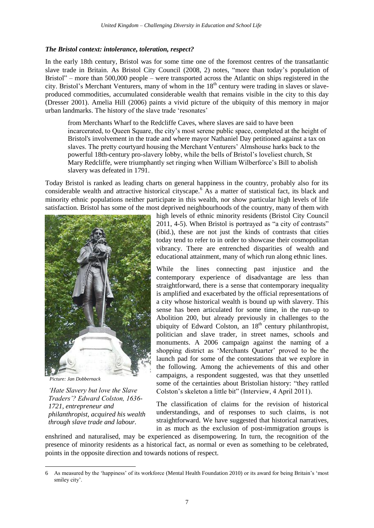#### <span id="page-18-0"></span>*The Bristol context: intolerance, toleration, respect?*

In the early 18th century, Bristol was for some time one of the foremost centres of the transatlantic slave trade in Britain. As Bristol City Council (2008, 2) notes, "more than today's population of Bristol" – more than 500,000 people – were transported across the Atlantic on ships registered in the city. Bristol's Merchant Venturers, many of whom in the  $18<sup>th</sup>$  century were trading in slaves or slaveproduced commodities, accumulated considerable wealth that remains visible in the city to this day (Dresser 2001). Amelia Hill (2006) paints a vivid picture of the ubiquity of this memory in major urban landmarks. The history of the slave trade 'resonates'

from Merchants Wharf to the Redcliffe Caves, where slaves are said to have been incarcerated, to Queen Square, the city's most serene public space, completed at the height of Bristol's involvement in the trade and where mayor Nathaniel Day petitioned against a tax on slaves. The pretty courtyard housing the Merchant Venturers' Almshouse harks back to the powerful 18th-century pro-slavery lobby, while the bells of Bristol's loveliest church, St Mary Redcliffe, were triumphantly set ringing when William Wilberforce's Bill to abolish slavery was defeated in 1791.

Today Bristol is ranked as leading charts on general happiness in the country, probably also for its considerable wealth and attractive historical cityscape.<sup>6</sup> As a matter of statistical fact, its black and minority ethnic populations neither participate in this wealth, nor show particular high levels of life satisfaction. Bristol has some of the most deprived neighbourhoods of the country, many of them with



*Picture: Jan Dobbernack*

1

*'Hate Slavery but love the Slave Traders'? Edward Colston, 1636- 1721, entrepreneur and philanthropist, acquired his wealth through slave trade and labour.*

high levels of ethnic minority residents (Bristol City Council 2011, 4-5). When Bristol is portrayed as "a city of contrasts" (ibid.), these are not just the kinds of contrasts that cities today tend to refer to in order to showcase their cosmopolitan vibrancy. There are entrenched disparities of wealth and educational attainment, many of which run along ethnic lines.

While the lines connecting past injustice and the contemporary experience of disadvantage are less than straightforward, there is a sense that contemporary inequality is amplified and exacerbated by the official representations of a city whose historical wealth is bound up with slavery. This sense has been articulated for some time, in the run-up to Abolition 200, but already previously in challenges to the ubiquity of Edward Colston, an  $18<sup>th</sup>$  century philanthropist, politician and slave trader, in street names, schools and monuments. A 2006 campaign against the naming of a shopping district as 'Merchants Quarter' proved to be the launch pad for some of the contestations that we explore in the following. Among the achievements of this and other campaigns, a respondent suggested, was that they unsettled some of the certainties about Bristolian history: "they rattled Colston's skeleton a little bit" (Interview, 4 April 2011).

The classification of claims for the revision of historical understandings, and of responses to such claims, is not straightforward. We have suggested that historical narratives, in as much as the exclusion of post-immigration groups is

enshrined and naturalised, may be experienced as disempowering. In turn, the recognition of the presence of minority residents as a historical fact, as normal or even as something to be celebrated, points in the opposite direction and towards notions of respect.

<sup>6</sup> As measured by the 'happiness' of its workforce (Mental Health Foundation 2010) or its award for being Britain's 'most smiley city'.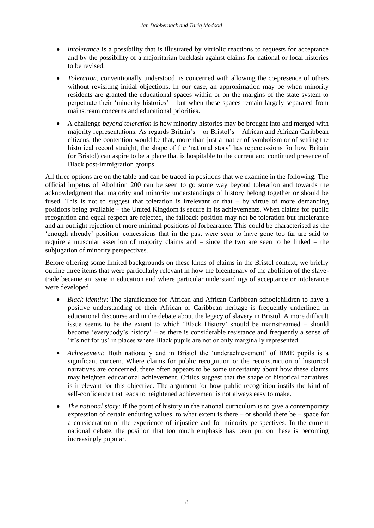- *Intolerance* is a possibility that is illustrated by vitriolic reactions to requests for acceptance and by the possibility of a majoritarian backlash against claims for national or local histories to be revised.
- *Toleration*, conventionally understood, is concerned with allowing the co-presence of others without revisiting initial objections. In our case, an approximation may be when minority residents are granted the educational spaces within or on the margins of the state system to perpetuate their 'minority histories' – but when these spaces remain largely separated from mainstream concerns and educational priorities.
- A challenge *beyond toleration* is how minority histories may be brought into and merged with majority representations. As regards Britain's – or Bristol's – African and African Caribbean citizens, the contention would be that, more than just a matter of symbolism or of setting the historical record straight, the shape of the 'national story' has repercussions for how Britain (or Bristol) can aspire to be a place that is hospitable to the current and continued presence of Black post-immigration groups.

All three options are on the table and can be traced in positions that we examine in the following. The official impetus of Abolition 200 can be seen to go some way beyond toleration and towards the acknowledgment that majority and minority understandings of history belong together or should be fused. This is not to suggest that toleration is irrelevant or that – by virtue of more demanding positions being available – the United Kingdom is secure in its achievements. When claims for public recognition and equal respect are rejected, the fallback position may not be toleration but intolerance and an outright rejection of more minimal positions of forbearance. This could be characterised as the 'enough already' position: concessions that in the past were seen to have gone too far are said to require a muscular assertion of majority claims and – since the two are seen to be linked – the subjugation of minority perspectives.

Before offering some limited backgrounds on these kinds of claims in the Bristol context, we briefly outline three items that were particularly relevant in how the bicentenary of the abolition of the slavetrade became an issue in education and where particular understandings of acceptance or intolerance were developed.

- *Black identity*: The significance for African and African Caribbean schoolchildren to have a positive understanding of their African or Caribbean heritage is frequently underlined in educational discourse and in the debate about the legacy of slavery in Bristol. A more difficult issue seems to be the extent to which 'Black History' should be mainstreamed – should become 'everybody's history' – as there is considerable resistance and frequently a sense of 'it's not for us' in places where Black pupils are not or only marginally represented.
- *Achievement*: Both nationally and in Bristol the 'underachievement' of BME pupils is a significant concern. Where claims for public recognition or the reconstruction of historical narratives are concerned, there often appears to be some uncertainty about how these claims may heighten educational achievement. Critics suggest that the shape of historical narratives is irrelevant for this objective. The argument for how public recognition instils the kind of self-confidence that leads to heightened achievement is not always easy to make.
- *The national story*: If the point of history in the national curriculum is to give a contemporary expression of certain enduring values, to what extent is there – or should there be – space for a consideration of the experience of injustice and for minority perspectives. In the current national debate, the position that too much emphasis has been put on these is becoming increasingly popular.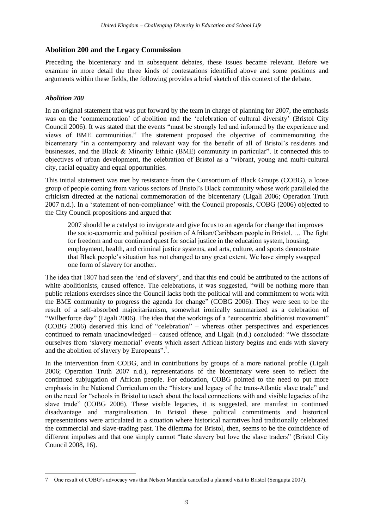## <span id="page-20-0"></span>**Abolition 200 and the Legacy Commission**

Preceding the bicentenary and in subsequent debates, these issues became relevant. Before we examine in more detail the three kinds of contestations identified above and some positions and arguments within these fields, the following provides a brief sketch of this context of the debate.

## <span id="page-20-1"></span>*Abolition 200*

In an original statement that was put forward by the team in charge of planning for 2007, the emphasis was on the 'commemoration' of abolition and the 'celebration of cultural diversity' (Bristol City Council 2006). It was stated that the events "must be strongly led and informed by the experience and views of BME communities." The statement proposed the objective of commemorating the bicentenary "in a contemporary and relevant way for the benefit of all of Bristol's residents and businesses, and the Black & Minority Ethnic (BME) community in particular". It connected this to objectives of urban development, the celebration of Bristol as a "vibrant, young and multi-cultural city, racial equality and equal opportunities.

This initial statement was met by resistance from the Consortium of Black Groups (COBG), a loose group of people coming from various sectors of Bristol's Black community whose work paralleled the criticism directed at the national commemoration of the bicentenary (Ligali 2006; Operation Truth 2007 n.d.). In a 'statement of non-compliance' with the Council proposals, COBG (2006) objected to the City Council propositions and argued that

2007 should be a catalyst to invigorate and give focus to an agenda for change that improves the socio-economic and political position of Afrikan/Caribbean people in Bristol. … The fight for freedom and our continued quest for social justice in the education system, housing, employment, health, and criminal justice systems, and arts, culture, and sports demonstrate that Black people's situation has not changed to any great extent. We have simply swapped one form of slavery for another.

The idea that 1807 had seen the 'end of slavery', and that this end could be attributed to the actions of white abolitionists, caused offence. The celebrations, it was suggested, "will be nothing more than public relations exercises since the Council lacks both the political will and commitment to work with the BME community to progress the agenda for change" (COBG 2006). They were seen to be the result of a self-absorbed majoritarianism, somewhat ironically summarized as a celebration of "Wilberforce day" (Ligali 2006). The idea that the workings of a "eurocentric abolitionist movement" (COBG 2006) deserved this kind of "celebration" – whereas other perspectives and experiences continued to remain unacknowledged – caused offence, and Ligali (n.d.) concluded: "We dissociate ourselves from 'slavery memorial' events which assert African history begins and ends with slavery and the abolition of slavery by Europeans".<sup>7</sup>.

In the intervention from COBG, and in contributions by groups of a more national profile (Ligali 2006; Operation Truth 2007 n.d.), representations of the bicentenary were seen to reflect the continued subjugation of African people. For education, COBG pointed to the need to put more emphasis in the National Curriculum on the "history and legacy of the trans-Atlantic slave trade" and on the need for "schools in Bristol to teach about the local connections with and visible legacies of the slave trade" (COBG 2006). These visible legacies, it is suggested, are manifest in continued disadvantage and marginalisation. In Bristol these political commitments and historical representations were articulated in a situation where historical narratives had traditionally celebrated the commercial and slave-trading past. The dilemma for Bristol, then, seems to be the coincidence of different impulses and that one simply cannot "hate slavery but love the slave traders" (Bristol City Council 2008, 16).

<sup>-</sup>7 One result of COBG's advocacy was that Nelson Mandela cancelled a planned visit to Bristol (Sengupta 2007).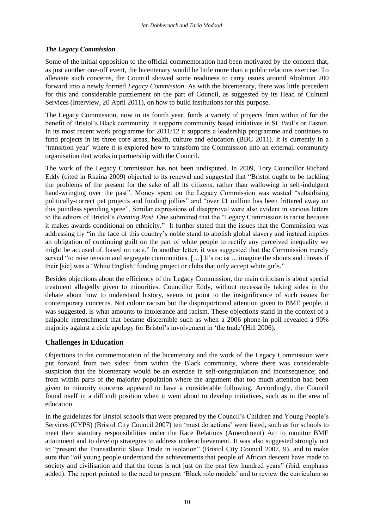## <span id="page-21-0"></span>*The Legacy Commission*

Some of the initial opposition to the official commemoration had been motivated by the concern that, as just another one-off event, the bicentenary would be little more than a public relations exercise. To alleviate such concerns, the Council showed some readiness to carry issues around Abolition 200 forward into a newly formed *Legacy Commission*. As with the bicentenary, there was little precedent for this and considerable puzzlement on the part of Council, as suggested by its Head of Cultural Services (Interview, 20 April 2011), on how to build institutions for this purpose.

The Legacy Commission, now in its fourth year, funds a variety of projects from within of for the benefit of Bristol's Black community. It supports community based initiatives in St. Paul's or Easton. In its most recent work programme for 2011/12 it supports a leadership programme and continues to fund projects in its three core areas, health, culture and education (BBC 2011). It is currently in a 'transition year' where it is explored how to transform the Commission into an external, community organisation that works in partnership with the Council.

The work of the Legacy Commission has not been undisputed. In 2009, Tory Councillor Richard Eddy (cited in Rkaina 2009) objected to its renewal and suggested that "Bristol ought to be tackling the problems of the present for the sake of all its citizens, rather than wallowing in self-indulgent hand-wringing over the past". Money spent on the Legacy Commission was wasted "subsidising politically-correct pet projects and funding jollies" and "over £1 million has been frittered away on this pointless spending spree". Similar expressions of disapproval were also evident in various letters to the editors of Bristol's *Evening Post.* One submitted that the "Legacy Commission is racist because it makes awards conditional on ethnicity." It further stated that the issues that the Commission was addressing fly "in the face of this country's noble stand to abolish global slavery and instead implies an obligation of continuing guilt on the part of white people to rectify any perceived inequality we might be accused of, based on race." In another letter, it was suggested that the Commission merely served "to raise tension and segregate communities. [...] It's racist ... imagine the shouts and threats if their [sic] was a 'White English' funding project or clubs that only accept white girls."

Besides objections about the efficiency of the Legacy Commission, the main criticism is about special treatment allegedly given to minorities. Councillor Eddy, without necessarily taking sides in the debate about how to understand history, seems to point to the insignificance of such issues for contemporary concerns. Not colour racism but the disproportional attention given to BME people, it was suggested, is what amounts to intolerance and racism. These objections stand in the context of a palpable retrenchment that became discernible such as when a 2006 phone-in poll revealed a 90% majority against a civic apology for Bristol's involvement in 'the trade'(Hill 2006).

## <span id="page-21-1"></span>**Challenges in Education**

Objections to the commemoration of the bicentenary and the work of the Legacy Commission were put forward from two sides: from within the Black community, where there was considerable suspicion that the bicentenary would be an exercise in self-congratulation and inconsequence; and from within parts of the majority population where the argument that too much attention had been given to minority concerns appeared to have a considerable following. Accordingly, the Council found itself in a difficult position when it went about to develop initiatives, such as in the area of education.

In the guidelines for Bristol schools that were prepared by the Council's Children and Young People's Services (CYPS) (Bristol City Council 2007) ten 'must do actions' were listed, such as for schools to meet their statutory responsibilities under the Race Relations (Amendment) Act to monitor BME attainment and to develop strategies to address underachievement. It was also suggested strongly not to "present the Transatlantic Slave Trade in isolation" (Bristol City Council 2007, 9), and to make sure that "*all* young people understand the achievements that people of African descent have made to society and civilisation and that the focus is not just on the past few hundred years" (ibid, emphasis added). The report pointed to the need to present 'Black role models' and to review the curriculum so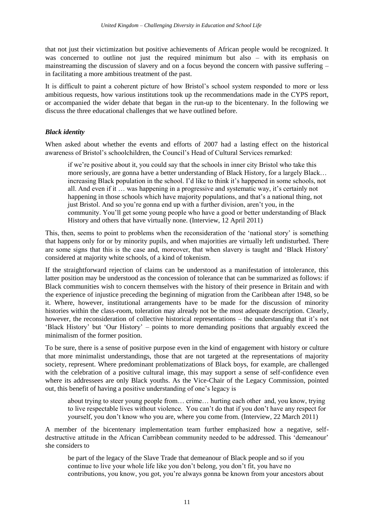that not just their victimization but positive achievements of African people would be recognized. It was concerned to outline not just the required minimum but also – with its emphasis on mainstreaming the discussion of slavery and on a focus beyond the concern with passive suffering – in facilitating a more ambitious treatment of the past.

It is difficult to paint a coherent picture of how Bristol's school system responded to more or less ambitious requests, how various institutions took up the recommendations made in the CYPS report, or accompanied the wider debate that began in the run-up to the bicentenary. In the following we discuss the three educational challenges that we have outlined before.

### <span id="page-22-0"></span>*Black identity*

When asked about whether the events and efforts of 2007 had a lasting effect on the historical awareness of Bristol's schoolchildren, the Council's Head of Cultural Services remarked:

if we're positive about it, you could say that the schools in inner city Bristol who take this more seriously, are gonna have a better understanding of Black History, for a largely Black… increasing Black population in the school. I'd like to think it's happened in some schools, not all. And even if it … was happening in a progressive and systematic way, it's certainly not happening in those schools which have majority populations, and that's a national thing, not just Bristol. And so you're gonna end up with a further division, aren't you, in the community. You'll get some young people who have a good or better understanding of Black History and others that have virtually none. (Interview, 12 April 2011)

This, then, seems to point to problems when the reconsideration of the 'national story' is something that happens only for or by minority pupils, and when majorities are virtually left undisturbed. There are some signs that this is the case and, moreover, that when slavery is taught and 'Black History' considered at majority white schools, of a kind of tokenism.

If the straightforward rejection of claims can be understood as a manifestation of intolerance, this latter position may be understood as the concession of tolerance that can be summarized as follows: if Black communities wish to concern themselves with the history of their presence in Britain and with the experience of injustice preceding the beginning of migration from the Caribbean after 1948, so be it. Where, however, institutional arrangements have to be made for the discussion of minority histories within the class-room, toleration may already not be the most adequate description. Clearly, however, the reconsideration of collective historical representations – the understanding that it's not 'Black History' but 'Our History' – points to more demanding positions that arguably exceed the minimalism of the former position.

To be sure, there is a sense of positive purpose even in the kind of engagement with history or culture that more minimalist understandings, those that are not targeted at the representations of majority society, represent. Where predominant problematizations of Black boys, for example, are challenged with the celebration of a positive cultural image, this may support a sense of self-confidence even where its addressees are only Black youths. As the Vice-Chair of the Legacy Commission, pointed out, this benefit of having a positive understanding of one's legacy is

about trying to steer young people from… crime… hurting each other and, you know, trying to live respectable lives without violence. You can't do that if you don't have any respect for yourself, you don't know who you are, where you come from. (Interview, 22 March 2011)

A member of the bicentenary implementation team further emphasized how a negative, selfdestructive attitude in the African Carribbean community needed to be addressed. This 'demeanour' she considers to

be part of the legacy of the Slave Trade that demeanour of Black people and so if you continue to live your whole life like you don't belong, you don't fit, you have no contributions, you know, you got, you're always gonna be known from your ancestors about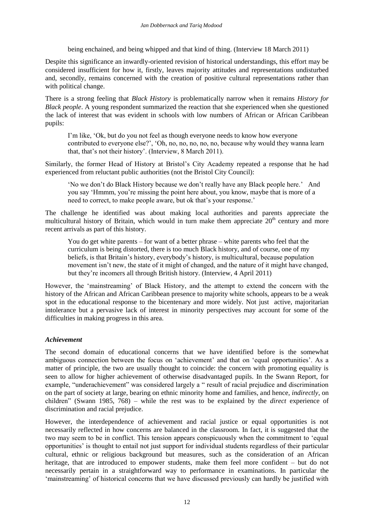being enchained, and being whipped and that kind of thing. (Interview 18 March 2011)

Despite this significance an inwardly-oriented revision of historical understandings, this effort may be considered insufficient for how it, firstly, leaves majority attitudes and representations undisturbed and, secondly, remains concerned with the creation of positive cultural representations rather than with political change.

There is a strong feeling that *Black History* is problematically narrow when it remains *History for Black people*. A young respondent summarized the reaction that she experienced when she questioned the lack of interest that was evident in schools with low numbers of African or African Caribbean pupils:

I'm like, 'Ok, but do you not feel as though everyone needs to know how everyone contributed to everyone else?', 'Oh, no, no, no, no, no, because why would they wanna learn that, that's not their history'. (Interview, 8 March 2011).

Similarly, the former Head of History at Bristol's City Academy repeated a response that he had experienced from reluctant public authorities (not the Bristol City Council):

'No we don't do Black History because we don't really have any Black people here.' And you say 'Hmmm, you're missing the point here about, you know, maybe that is more of a need to correct, to make people aware, but ok that's your response.'

The challenge he identified was about making local authorities and parents appreciate the multicultural history of Britain, which would in turn make them appreciate  $20<sup>th</sup>$  century and more recent arrivals as part of this history.

You do get white parents – for want of a better phrase – white parents who feel that the curriculum is being distorted, there is too much Black history, and of course, one of my beliefs, is that Britain's history, everybody's history, is multicultural, because population movement isn't new, the state of it might of changed, and the nature of it might have changed, but they're incomers all through British history. (Interview, 4 April 2011)

However, the 'mainstreaming' of Black History, and the attempt to extend the concern with the history of the African and African Caribbean presence to majority white schools, appears to be a weak spot in the educational response to the bicentenary and more widely. Not just active, majoritarian intolerance but a pervasive lack of interest in minority perspectives may account for some of the difficulties in making progress in this area.

#### <span id="page-23-0"></span>*Achievement*

The second domain of educational concerns that we have identified before is the somewhat ambiguous connection between the focus on 'achievement' and that on 'equal opportunities'. As a matter of principle, the two are usually thought to coincide: the concern with promoting equality is seen to allow for higher achievement of otherwise disadvantaged pupils. In the Swann Report, for example, "underachievement" was considered largely a " result of racial prejudice and discrimination on the part of society at large, bearing on ethnic minority home and families, and hence, *indirectly*, on children" (Swann 1985, 768) – while the rest was to be explained by the *direct* experience of discrimination and racial prejudice.

However, the interdependence of achievement and racial justice or equal opportunities is not necessarily reflected in how concerns are balanced in the classroom. In fact, it is suggested that the two may seem to be in conflict. This tension appears conspicuously when the commitment to 'equal opportunities' is thought to entail not just support for individual students regardless of their particular cultural, ethnic or religious background but measures, such as the consideration of an African heritage, that are introduced to empower students, make them feel more confident – but do not necessarily pertain in a straightforward way to performance in examinations. In particular the 'mainstreaming' of historical concerns that we have discussed previously can hardly be justified with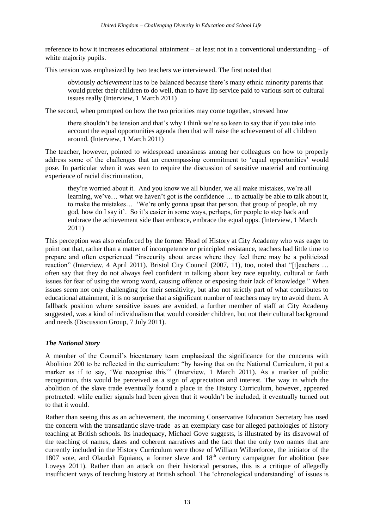reference to how it increases educational attainment – at least not in a conventional understanding – of white majority pupils.

This tension was emphasized by two teachers we interviewed. The first noted that

obviously *achievement* has to be balanced because there's many ethnic minority parents that would prefer their children to do well, than to have lip service paid to various sort of cultural issues really (Interview, 1 March 2011)

The second, when prompted on how the two priorities may come together, stressed how

there shouldn't be tension and that's why I think we're so keen to say that if you take into account the equal opportunities agenda then that will raise the achievement of all children around. (Interview, 1 March 2011)

The teacher, however, pointed to widespread uneasiness among her colleagues on how to properly address some of the challenges that an encompassing commitment to 'equal opportunities' would pose. In particular when it was seen to require the discussion of sensitive material and continuing experience of racial discrimination,

they're worried about it. And you know we all blunder, we all make mistakes, we're all learning, we've… what we haven't got is the confidence … to actually be able to talk about it, to make the mistakes… 'We're only gonna upset that person, that group of people, oh my god, how do I say it'. So it's easier in some ways, perhaps, for people to step back and embrace the achievement side than embrace, embrace the equal opps. (Interview, 1 March 2011)

This perception was also reinforced by the former Head of History at City Academy who was eager to point out that, rather than a matter of incompetence or principled resistance, teachers had little time to prepare and often experienced "insecurity about areas where they feel there may be a politicized reaction" (Interview, 4 April 2011). Bristol City Council (2007, 11), too, noted that "[t]eachers ... often say that they do not always feel confident in talking about key race equality, cultural or faith issues for fear of using the wrong word, causing offence or exposing their lack of knowledge." When issues seem not only challenging for their sensitivity, but also not strictly part of what contributes to educational attainment, it is no surprise that a significant number of teachers may try to avoid them. A fallback position where sensitive issues are avoided, a further member of staff at City Academy suggested, was a kind of individualism that would consider children, but not their cultural background and needs (Discussion Group, 7 July 2011).

### <span id="page-24-0"></span>*The National Story*

A member of the Council's bicentenary team emphasized the significance for the concerns with Abolition 200 to be reflected in the curriculum: "by having that on the National Curriculum, it put a marker as if to say, 'We recognise this'" (Interview, 1 March 2011). As a marker of public recognition, this would be perceived as a sign of appreciation and interest. The way in which the abolition of the slave trade eventually found a place in the History Curriculum, however, appeared protracted: while earlier signals had been given that it wouldn't be included, it eventually turned out to that it would.

Rather than seeing this as an achievement, the incoming Conservative Education Secretary has used the concern with the transatlantic slave-trade as an exemplary case for alleged pathologies of history teaching at British schools. Its inadequacy, Michael Gove suggests, is illustrated by its disavowal of the teaching of names, dates and coherent narratives and the fact that the only two names that are currently included in the History Curriculum were those of William Wilberforce, the initiator of the 1807 vote, and Olaudah Equiano, a former slave and  $18<sup>th</sup>$  century campaigner for abolition (see Loveys 2011). Rather than an attack on their historical personas, this is a critique of allegedly insufficient ways of teaching history at British school. The 'chronological understanding' of issues is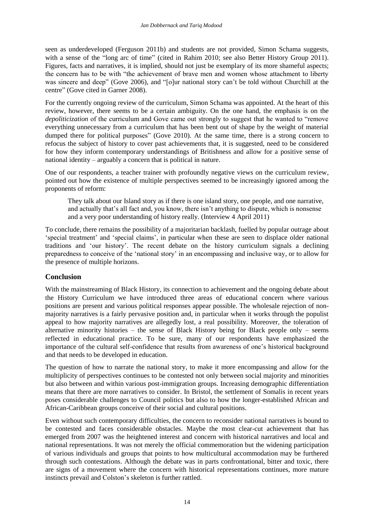seen as underdeveloped (Ferguson 2011b) and students are not provided, Simon Schama suggests, with a sense of the "long arc of time" (cited in Rahim 2010; see also Better History Group 2011). Figures, facts and narratives, it is implied, should not just be exemplary of its more shameful aspects; the concern has to be with "the achievement of brave men and women whose attachment to liberty was sincere and deep" (Gove 2006), and "[o]ur national story can't be told without Churchill at the centre" (Gove cited in Garner 2008).

For the currently ongoing review of the curriculum, Simon Schama was appointed. At the heart of this review, however, there seems to be a certain ambiguity. On the one hand, the emphasis is on the *depoliticization* of the curriculum and Gove came out strongly to suggest that he wanted to "remove everything unnecessary from a curriculum that has been bent out of shape by the weight of material dumped there for political purposes" (Gove 2010). At the same time, there is a strong concern to refocus the subject of history to cover past achievements that, it is suggested, need to be considered for how they inform contemporary understandings of Britishness and allow for a positive sense of national identity – arguably a concern that is political in nature.

One of our respondents, a teacher trainer with profoundly negative views on the curriculum review, pointed out how the existence of multiple perspectives seemed to be increasingly ignored among the proponents of reform:

They talk about our Island story as if there is one island story, one people, and one narrative, and actually that's all fact and, you know, there isn't anything to dispute, which is nonsense and a very poor understanding of history really. (Interview 4 April 2011)

To conclude, there remains the possibility of a majoritarian backlash, fuelled by popular outrage about 'special treatment' and 'special claims', in particular when these are seen to displace older national traditions and 'our history'. The recent debate on the history curriculum signals a declining preparedness to conceive of the 'national story' in an encompassing and inclusive way, or to allow for the presence of multiple horizons.

### <span id="page-25-0"></span>**Conclusion**

With the mainstreaming of Black History, its connection to achievement and the ongoing debate about the History Curriculum we have introduced three areas of educational concern where various positions are present and various political responses appear possible. The wholesale rejection of nonmajority narratives is a fairly pervasive position and, in particular when it works through the populist appeal to how majority narratives are allegedly lost, a real possibility. Moreover, the toleration of alternative minority histories – the sense of Black History being for Black people only – seems reflected in educational practice. To be sure, many of our respondents have emphasized the importance of the cultural self-confidence that results from awareness of one's historical background and that needs to be developed in education.

The question of how to narrate the national story, to make it more encompassing and allow for the multiplicity of perspectives continues to be contested not only between social majority and minorities but also between and within various post-immigration groups. Increasing demographic differentiation means that there are more narratives to consider. In Bristol, the settlement of Somalis in recent years poses considerable challenges to Council politics but also to how the longer-established African and African-Caribbean groups conceive of their social and cultural positions.

Even without such contemporary difficulties, the concern to reconsider national narratives is bound to be contested and faces considerable obstacles. Maybe the most clear-cut achievement that has emerged from 2007 was the heightened interest and concern with historical narratives and local and national representations. It was not merely the official commemoration but the widening participation of various individuals and groups that points to how multicultural accommodation may be furthered through such contestations. Although the debate was in parts confrontational, bitter and toxic, there are signs of a movement where the concern with historical representations continues, more mature instincts prevail and Colston's skeleton is further rattled.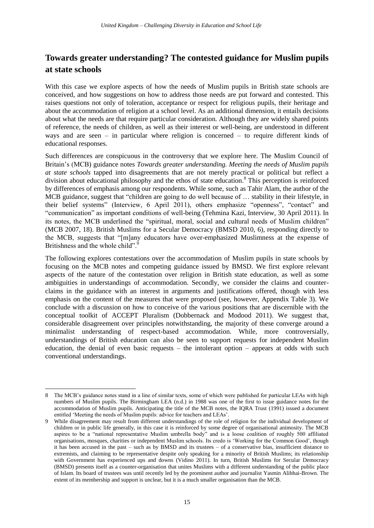# <span id="page-26-0"></span>**Towards greater understanding? The contested guidance for Muslim pupils at state schools**

With this case we explore aspects of how the needs of Muslim pupils in British state schools are conceived, and how suggestions on how to address those needs are put forward and contested. This raises questions not only of toleration, acceptance or respect for religious pupils, their heritage and about the accommodation of religion at a school level. As an additional dimension, it entails decisions about what the needs are that require particular consideration. Although they are widely shared points of reference, the needs of children, as well as their interest or well-being, are understood in different ways and are seen – in particular where religion is concerned – to require different kinds of educational responses.

Such differences are conspicuous in the controversy that we explore here. The Muslim Council of Britain's (MCB) guidance notes *Towards greater understanding. Meeting the needs of Muslim pupils at state schools* tapped into disagreements that are not merely practical or political but reflect a division about educational philosophy and the ethos of state education.<sup>8</sup> This perception is reinforced by differences of emphasis among our respondents. While some, such as Tahir Alam, the author of the MCB guidance, suggest that "children are going to do well because of … stability in their lifestyle, in their belief systems" (Interview, 6 April 2011), others emphasize "openness", "contact" and "communication" as important conditions of well-being (Tehmina Kazi, Interview, 30 April 2011). In its notes, the MCB underlined the "spiritual, moral, social and cultural needs of Muslim children" (MCB 2007, 18). British Muslims for a Secular Democracy (BMSD 2010, 6), responding directly to the MCB, suggests that "[m]any educators have over-emphasized Muslimness at the expense of Britishness and the whole child".<sup>9</sup>

The following explores contestations over the accommodation of Muslim pupils in state schools by focusing on the MCB notes and competing guidance issued by BMSD. We first explore relevant aspects of the nature of the contestation over religion in British state education, as well as some ambiguities in understandings of accommodation. Secondly, we consider the claims and counterclaims in the guidance with an interest in arguments and justifications offered, though with less emphasis on the content of the measures that were proposed (see, however, Appendix Table 3). We conclude with a discussion on how to conceive of the various positions that are discernible with the conceptual toolkit of ACCEPT Pluralism (Dobbernack and Modood 2011). We suggest that, considerable disagreement over principles notwithstanding, the majority of these converge around a minimalist understanding of respect-based accommodation. While, more controversially, understandings of British education can also be seen to support requests for independent Muslim education, the denial of even basic requests – the intolerant option – appears at odds with such conventional understandings.

1

<sup>8</sup> The MCB's guidance notes stand in a line of similar texts, some of which were published for particular LEAs with high numbers of Muslim pupils. The Birmingham LEA (n.d.) in 1988 was one of the first to issue guidance notes for the accommodation of Muslim pupils. Anticipating the title of the MCB notes, the IQRA Trust (1991) issued a document entitled 'Meeting the needs of Muslim pupils: advice for teachers and LEAs'.

<sup>9</sup> While disagreement may result from different understandings of the role of religion for the individual development of children or in public life generally, in this case it is reinforced by some degree of organisational animosity. The MCB aspires to be a "national representative Muslim umbrella body" and is a loose coalition of roughly 500 affiliated organisations, mosques, charities or independent Muslim schools. Its credo is 'Working for the Common Good', though it has been accused in the past – such as by BMSD and its trustees – of a conservative bias, insufficient distance to extremists, and claiming to be representative despite only speaking for a minority of British Muslims; its relationship with Government has experienced ups and downs (Vidino 2011). In turn, British Muslims for Secular Democracy (BMSD) presents itself as a counter-organisation that unites Muslims with a different understanding of the public place of Islam. Its board of trustees was until recently led by the prominent author and journalist Yasmin Alibhai-Brown. The extent of its membership and support is unclear, but it is a much smaller organisation than the MCB.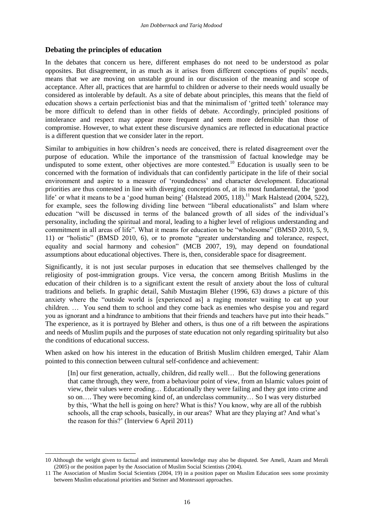#### <span id="page-27-0"></span>**Debating the principles of education**

1

In the debates that concern us here, different emphases do not need to be understood as polar opposites. But disagreement, in as much as it arises from different conceptions of pupils' needs, means that we are moving on unstable ground in our discussion of the meaning and scope of acceptance. After all, practices that are harmful to children or adverse to their needs would usually be considered as intolerable by default. As a site of debate about principles, this means that the field of education shows a certain perfectionist bias and that the minimalism of 'gritted teeth' tolerance may be more difficult to defend than in other fields of debate. Accordingly, principled positions of intolerance and respect may appear more frequent and seem more defensible than those of compromise. However, to what extent these discursive dynamics are reflected in educational practice is a different question that we consider later in the report.

Similar to ambiguities in how children's needs are conceived, there is related disagreement over the purpose of education. While the importance of the transmission of factual knowledge may be undisputed to some extent, other objectives are more contested.<sup>10</sup> Education is usually seen to be concerned with the formation of individuals that can confidently participate in the life of their social environment and aspire to a measure of 'roundedness' and character development. Educational priorities are thus contested in line with diverging conceptions of, at its most fundamental, the 'good life' or what it means to be a 'good human being' (Halstead 2005, 118).<sup>11</sup> Mark Halstead (2004, 522), for example, sees the following dividing line between "liberal educationalists" and Islam where education "will be discussed in terms of the balanced growth of all sides of the individual's personality, including the spiritual and moral, leading to a higher level of religious understanding and commitment in all areas of life". What it means for education to be "wholesome" (BMSD 2010, 5, 9, 11) or "holistic" (BMSD 2010, 6), or to promote "greater understanding and tolerance, respect, equality and social harmony and cohesion" (MCB 2007, 19), may depend on foundational assumptions about educational objectives. There is, then, considerable space for disagreement.

Significantly, it is not just secular purposes in education that see themselves challenged by the religiosity of post-immigration groups. Vice versa, the concern among British Muslims in the education of their children is to a significant extent the result of anxiety about the loss of cultural traditions and beliefs. In graphic detail, Sahib Mustaqim Bleher (1996, 63) draws a picture of this anxiety where the "outside world is [experienced as] a raging monster waiting to eat up your children. … You send them to school and they come back as enemies who despise you and regard you as ignorant and a hindrance to ambitions that their friends and teachers have put into their heads." The experience, as it is portrayed by Bleher and others, is thus one of a rift between the aspirations and needs of Muslim pupils and the purposes of state education not only regarding spirituality but also the conditions of educational success.

When asked on how his interest in the education of British Muslim children emerged, Tahir Alam pointed to this connection between cultural self-confidence and achievement:

[In] our first generation, actually, children, did really well… But the following generations that came through, they were, from a behaviour point of view, from an Islamic values point of view, their values were eroding… Educationally they were failing and they got into crime and so on…. They were becoming kind of, an underclass community… So I was very disturbed by this, 'What the hell is going on here? What is this? You know, why are all of the rubbish schools, all the crap schools, basically, in our areas? What are they playing at? And what's the reason for this?' (Interview 6 April 2011)

<sup>10</sup> Although the weight given to factual and instrumental knowledge may also be disputed. See Ameli, Azam and Merali (2005) or the position paper by the Association of Muslim Social Scientists (2004).

<sup>11</sup> The Association of Muslim Social Scientists (2004, 19) in a position paper on Muslim Education sees some proximity between Muslim educational priorities and Steiner and Montessori approaches.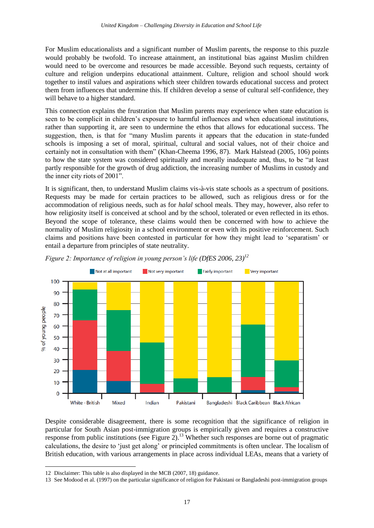For Muslim educationalists and a significant number of Muslim parents, the response to this puzzle would probably be twofold. To increase attainment, an institutional bias against Muslim children would need to be overcome and resources be made accessible. Beyond such requests, certainty of culture and religion underpins educational attainment. Culture, religion and school should work together to instil values and aspirations which steer children towards educational success and protect them from influences that undermine this. If children develop a sense of cultural self-confidence, they will behave to a higher standard.

This connection explains the frustration that Muslim parents may experience when state education is seen to be complicit in children's exposure to harmful influences and when educational institutions, rather than supporting it, are seen to undermine the ethos that allows for educational success. The suggestion, then, is that for "many Muslim parents it appears that the education in state-funded schools is imposing a set of moral, spiritual, cultural and social values, not of their choice and certainly not in consultation with them" (Khan-Cheema 1996, 87). Mark Halstead (2005, 106) points to how the state system was considered spiritually and morally inadequate and, thus, to be "at least partly responsible for the growth of drug addiction, the increasing number of Muslims in custody and the inner city riots of 2001".

It is significant, then, to understand Muslim claims vis-à-vis state schools as a spectrum of positions. Requests may be made for certain practices to be allowed, such as religious dress or for the accommodation of religious needs, such as for *halal* school meals. They may, however, also refer to how religiosity itself is conceived at school and by the school, tolerated or even reflected in its ethos. Beyond the scope of tolerance, these claims would then be concerned with how to achieve the normality of Muslim religiosity in a school environment or even with its positive reinforcement. Such claims and positions have been contested in particular for how they might lead to 'separatism' or entail a departure from principles of state neutrality.



*Figure 2: Importance of religion in young person's life (DfES 2006, 23)<sup>12</sup>*

Despite considerable disagreement, there is some recognition that the significance of religion in particular for South Asian post-immigration groups is empirically given and requires a constructive response from public institutions (see Figure 2).<sup>13</sup> Whether such responses are borne out of pragmatic calculations, the desire to 'just get along' or principled commitments is often unclear. The localism of British education, with various arrangements in place across individual LEAs, means that a variety of

<sup>1</sup> 12 Disclaimer: This table is also displayed in the MCB (2007, 18) guidance.

<sup>13</sup> See Modood et al. (1997) on the particular significance of religion for Pakistani or Bangladeshi post-immigration groups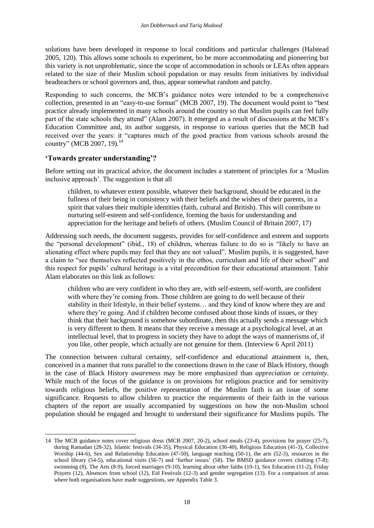solutions have been developed in response to local conditions and particular challenges (Halstead 2005, 120). This allows some schools to experiment, bo be more accommodating and pioneering but this variety is not unproblematic, since the scope of accommodation in schools or LEAs often appears related to the size of their Muslim school population or may results from initiatives by individual headteachers or school governors and, thus, appear somewhat random and patchy.

Responding to such concerns, the MCB's guidance notes were intended to be a comprehensive collection, presented in an "easy-to-use format" (MCB 2007, 19). The document would point to "best practice already implemented in many schools around the country so that Muslim pupils can feel fully part of the state schools they attend" (Alam 2007). It emerged as a result of discussions at the MCB's Education Committee and, its author suggests, in response to various queries that the MCB had received over the years: it "captures much of the good practice from various schools around the country" (MCB 2007, 19).<sup>14</sup>

## <span id="page-29-0"></span>**'Towards greater understanding'?**

1

Before setting out its practical advice, the document includes a statement of principles for a 'Muslim inclusive approach'. The suggestion is that all

children, to whatever extent possible, whatever their background, should be educated in the fullness of their being in consistency with their beliefs and the wishes of their parents, in a spirit that values their multiple identities (faith, cultural and British). This will contribute to nurturing self-esteem and self-confidence, forming the basis for understanding and appreciation for the heritage and beliefs of others. (Muslim Council of Britain 2007, 17)

Addressing such needs, the document suggests, provides for self-confidence and esteem and supports the "personal development" (ibid., 18) of children, whereas failure to do so is "likely to have an alienating effect where pupils may feel that they are not valued". Muslim pupils, it is suggested, have a claim to "see themselves reflected positively in the ethos, curriculum and life of their school" and this respect for pupils' cultural heritage is a vital precondition for their educational attainment. Tahir Alam elaborates on this link as follows:

children who are very confident in who they are, with self-esteem, self-worth, are confident with where they're coming from. Those children are going to do well because of their stability in their lifestyle, in their belief systems… and they kind of know where they are and where they're going. And if children become confused about those kinds of issues, or they think that their background is somehow subordinate, then this actually sends a message which is very different to them. It means that they receive a message at a psychological level, at an intellectual level, that to progress in society they have to adopt the ways of mannerisms of, if you like, other people, which actually are not genuine for them. (Interview 6 April 2011)

The connection between cultural certainty, self-confidence and educational attainment is, then, conceived in a manner that runs parallel to the connections drawn in the case of Black History, though in the case of Black History *awareness* may be more emphasized than *appreciation* or *certainty*. While much of the focus of the guidance is on provisions for religious practice and for sensitivity towards religious beliefs, the positive representation of the Muslim faith is an issue of some significance. Requests to allow children to practice the requirements of their faith in the various chapters of the report are usually accompanied by suggestions on how the non-Muslim school population should be engaged and brought to understand their significance for Muslims pupils. The

<sup>14</sup> The MCB guidance notes cover religious dress (MCB 2007, 20-2), school meals (23-4), provisions for prayer (25-7), during Ramadan (28-32), Islamic festivals (34-35), Physical Education (36-40), Religious Education (41-3), Collective Worship (44-6), Sex and Relationship Education (47-50), language teaching (50-1), the arts (52-3), resources in the school library (54-5), educational visits (56-7) and 'further issues' (58). The BMSD guidance covers clothing (7-8); swimming (8), The Arts (8-9), forced marriages (9-10), learning about other faiths (10-1), Sex Education (11-2), Friday Prayers (12), Absences from school (12), Eid Festivals (12-3) and gender segregation (13). For a comparison of areas where both organisations have made suggestions, see Appendix Table 3.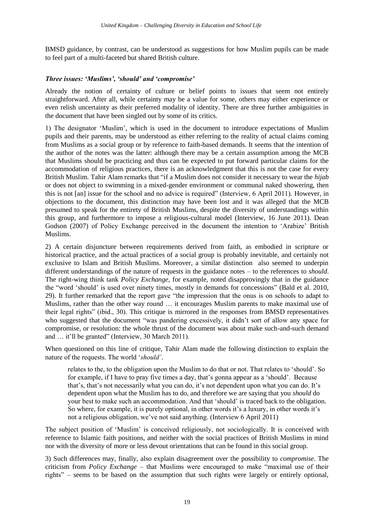BMSD guidance, by contrast, can be understood as suggestions for how Muslim pupils can be made to feel part of a multi-faceted but shared British culture.

#### <span id="page-30-0"></span>*Three issues: 'Muslims', 'should' and 'compromise'*

Already the notion of certainty of culture or belief points to issues that seem not entirely straightforward. After all, while certainty may be a value for some, others may either experience or even relish uncertainty as their preferred modality of identity. There are three further ambiguities in the document that have been singled out by some of its critics.

1) The designator 'Muslim', which is used in the document to introduce expectations of Muslim pupils and their parents, may be understood as either referring to the reality of actual claims coming from Muslims as a social group or by reference to faith-based demands. It seems that the intention of the author of the notes was the latter: although there may be a certain assumption among the MCB that Muslims should be practicing and thus can be expected to put forward particular claims for the accommodation of religious practices, there is an acknowledgment that this is not the case for every British Muslim. Tahir Alam remarks that "if a Muslim does not consider it necessary to wear the *hijab* or does not object to swimming in a mixed-gender environment or communal naked showering, then this is not [an] issue for the school and no advice is required" (Interview, 6 April 2011)*.* However, in objections to the document, this distinction may have been lost and it was alleged that the MCB presumed to speak for the entirety of British Muslims, despite the diversity of understandings within this group, and furthermore to impose a religious-cultural model (Interview, 16 June 2011). Dean Godson (2007) of Policy Exchange perceived in the document the intention to 'Arabize' British Muslims.

2) A certain disjuncture between requirements derived from faith, as embodied in scripture or historical practice, and the actual practices of a social group is probably inevitable, and certainly not exclusive to Islam and British Muslims. Moreover, a similar distinction also seemed to underpin different understandings of the nature of requests in the guidance notes – to the references to *should*. The right-wing think tank *Policy Exchange*, for example, noted disapprovingly that in the guidance the "word 'should' is used over ninety times, mostly in demands for concessions" (Bald et al. 2010, 29). It further remarked that the report gave "the impression that the onus is on schools to adapt to Muslims, rather than the other way round … it encourages Muslim parents to make maximal use of their legal rights" (ibid., 30). This critique is mirrored in the responses from BMSD representatives who suggested that the document "was pandering excessively, it didn't sort of allow any space for compromise, or resolution: the whole thrust of the document was about make such-and-such demand and … it'll be granted" (Interview, 30 March 2011).

When questioned on this line of critique, Tahir Alam made the following distinction to explain the nature of the requests. The world '*should'*.

relates to the, to the obligation upon the Muslim to do that or not. That relates to 'should'. So for example, if I have to pray five times a day, that's gonna appear as a 'should'. Because that's, that's not necessarily what you can do, it's not dependent upon what you can do. It's dependent upon what the Muslim has to do, and therefore we are saying that you *should* do your best to make such an accommodation. And that 'should' is traced back to the obligation. So where, for example, it is purely optional, in other words it's a luxury, in other words it's not a religious obligation, we've not said anything. (Interview 6 April 2011)

The subject position of 'Muslim' is conceived religiously, not sociologically. It is conceived with reference to Islamic faith positions, and neither with the social practices of British Muslims in mind nor with the diversity of more or less devout orientations that can be found in this social group.

3) Such differences may, finally, also explain disagreement over the possibility to *compromise*. The criticism from *Policy Exchange* – that Muslims were encouraged to make "maximal use of their rights" – seems to be based on the assumption that such rights were largely or entirely optional,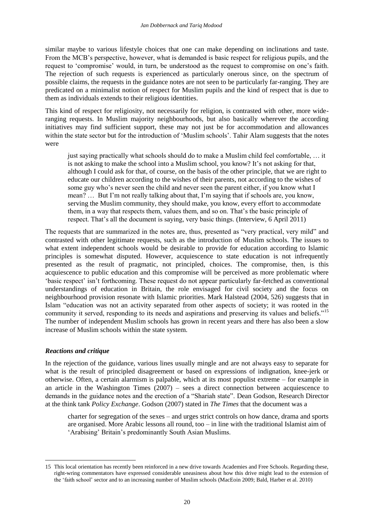similar maybe to various lifestyle choices that one can make depending on inclinations and taste. From the MCB's perspective, however, what is demanded is basic respect for religious pupils, and the request to 'compromise' would, in turn, be understood as the request to compromise on one's faith. The rejection of such requests is experienced as particularly onerous since, on the spectrum of possible claims, the requests in the guidance notes are not seen to be particularly far-ranging. They are predicated on a minimalist notion of respect for Muslim pupils and the kind of respect that is due to them as individuals extends to their religious identities.

This kind of respect for religiosity, not necessarily for religion, is contrasted with other, more wideranging requests. In Muslim majority neighbourhoods, but also basically wherever the according initiatives may find sufficient support, these may not just be for accommodation and allowances within the state sector but for the introduction of 'Muslim schools'. Tahir Alam suggests that the notes were

just saying practically what schools should do to make a Muslim child feel comfortable, … it is not asking to make the school into a Muslim school, you know? It's not asking for that, although I could ask for that, of course, on the basis of the other principle, that we are right to educate our children according to the wishes of their parents, not according to the wishes of some guy who's never seen the child and never seen the parent either, if you know what I mean? … But I'm not really talking about that, I'm saying that if schools are, you know, serving the Muslim community, they should make, you know, every effort to accommodate them, in a way that respects them, values them, and so on. That's the basic principle of respect. That's all the document is saying, very basic things. (Interview, 6 April 2011)

The requests that are summarized in the notes are, thus, presented as "very practical, very mild" and contrasted with other legitimate requests, such as the introduction of Muslim schools. The issues to what extent independent schools would be desirable to provide for education according to Islamic principles is somewhat disputed. However, acquiescence to state education is not infrequently presented as the result of pragmatic, not principled, choices. The compromise, then, is this acquiescence to public education and this compromise will be perceived as more problematic where 'basic respect' isn't forthcoming. These request do not appear particularly far-fetched as conventional understandings of education in Britain, the role envisaged for civil society and the focus on neighbourhood provision resonate with Islamic priorities. Mark Halstead (2004, 526) suggests that in Islam "education was not an activity separated from other aspects of society; it was rooted in the community it served, responding to its needs and aspirations and preserving its values and beliefs."<sup>15</sup> The number of independent Muslim schools has grown in recent years and there has also been a slow increase of Muslim schools within the state system.

### <span id="page-31-0"></span>*Reactions and critique*

-

In the rejection of the guidance, various lines usually mingle and are not always easy to separate for what is the result of principled disagreement or based on expressions of indignation, knee-jerk or otherwise. Often, a certain alarmism is palpable, which at its most populist extreme – for example in an article in the Washington Times (2007) – sees a direct connection between acquiescence to demands in the guidance notes and the erection of a "Shariah state". Dean Godson, Research Director at the think tank *Policy Exchange*. Godson (2007) stated in *The Times* that the document was a

charter for segregation of the sexes – and urges strict controls on how dance, drama and sports are organised. More Arabic lessons all round, too – in line with the traditional Islamist aim of 'Arabising' Britain's predominantly South Asian Muslims.

<sup>15</sup> This local orientation has recently been reinforced in a new drive towards Academies and Free Schools. Regarding these, right-wring commentators have expressed considerable uneasiness about how this drive might lead to the extension of the 'faith school' sector and to an increasing number of Muslim schools (MacEoin 2009; Bald, Harber et al. 2010)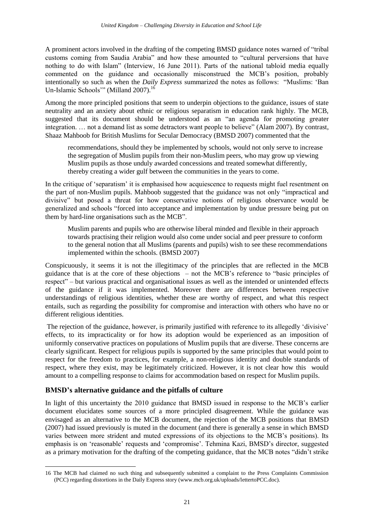A prominent actors involved in the drafting of the competing BMSD guidance notes warned of "tribal customs coming from Saudia Arabia" and how these amounted to "cultural perversions that have nothing to do with Islam" (Interview, 16 June 2011). Parts of the national tabloid media equally commented on the guidance and occasionally misconstrued the MCB's position, probably intentionally so such as when the *Daily Express* summarized the notes as follows: "Muslims: 'Ban Un-Islamic Schools" (Milland 2007).<sup>16</sup>

Among the more principled positions that seem to underpin objections to the guidance, issues of state neutrality and an anxiety about ethnic or religious separatism in education rank highly. The MCB, suggested that its document should be understood as an "an agenda for promoting greater integration. … not a demand list as some detractors want people to believe" (Alam 2007). By contrast, Shaaz Mahboob for British Muslims for Secular Democracy (BMSD 2007) commented that the

recommendations, should they be implemented by schools, would not only serve to increase the segregation of Muslim pupils from their non-Muslim peers, who may grow up viewing Muslim pupils as those unduly awarded concessions and treated somewhat differently, thereby creating a wider gulf between the communities in the years to come.

In the critique of 'separatism' it is emphasised how acquiescence to requests might fuel resentment on the part of non-Muslim pupils. Mahboob suggested that the guidance was not only "impractical and divisive" but posed a threat for how conservative notions of religious observance would be generalized and schools "forced into acceptance and implementation by undue pressure being put on them by hard-line organisations such as the MCB".

Muslim parents and pupils who are otherwise liberal minded and flexible in their approach towards practising their religion would also come under social and peer pressure to conform to the general notion that all Muslims (parents and pupils) wish to see these recommendations implemented within the schools. (BMSD 2007)

Conspicuously, it seems it is not the illegitimacy of the principles that are reflected in the MCB guidance that is at the core of these objections – not the MCB's reference to "basic principles of respect" – but various practical and organisational issues as well as the intended or unintended effects of the guidance if it was implemented. Moreover there are differences between respective understandings of religious identities, whether these are worthy of respect, and what this respect entails, such as regarding the possibility for compromise and interaction with others who have no or different religious identities.

The rejection of the guidance, however, is primarily justified with reference to its allegedly 'divisive' effects, to its impracticality or for how its adoption would be experienced as an imposition of uniformly conservative practices on populations of Muslim pupils that are diverse. These concerns are clearly significant. Respect for religious pupils is supported by the same principles that would point to respect for the freedom to practices, for example, a non-religious identity and double standards of respect, where they exist, may be legitimately criticized. However, it is not clear how this would amount to a compelling response to claims for accommodation based on respect for Muslim pupils.

## <span id="page-32-0"></span>**BMSD's alternative guidance and the pitfalls of culture**

In light of this uncertainty the 2010 guidance that BMSD issued in response to the MCB's earlier document elucidates some sources of a more principled disagreement. While the guidance was envisaged as an alternative to the MCB document, the rejection of the MCB positions that BMSD (2007) had issued previously is muted in the document (and there is generally a sense in which BMSD varies between more strident and muted expressions of its objections to the MCB's positions). Its emphasis is on 'reasonable' requests and 'compromise'. Tehmina Kazi, BMSD's director, suggested as a primary motivation for the drafting of the competing guidance, that the MCB notes "didn't strike

<sup>1</sup> 16 The MCB had claimed no such thing and subsequently submitted a complaint to the Press Complaints Commission (PCC) regarding distortions in the Daily Express story (www.mcb.org.uk/uploads/lettertoPCC.doc).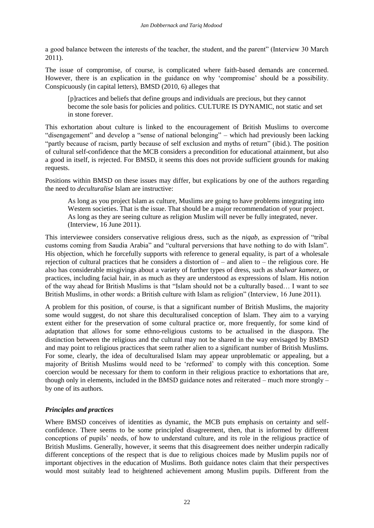a good balance between the interests of the teacher, the student, and the parent" (Interview 30 March 2011).

The issue of compromise, of course, is complicated where faith-based demands are concerned. However, there is an explication in the guidance on why 'compromise' should be a possibility. Conspicuously (in capital letters), BMSD (2010, 6) alleges that

[p]ractices and beliefs that define groups and individuals are precious, but they cannot become the sole basis for policies and politics. CULTURE IS DYNAMIC, not static and set in stone forever.

This exhortation about culture is linked to the encouragement of British Muslims to overcome "disengagement" and develop a "sense of national belonging" – which had previously been lacking "partly because of racism, partly because of self exclusion and myths of return" (ibid.). The position of cultural self-confidence that the MCB considers a precondition for educational attainment, but also a good in itself, is rejected. For BMSD, it seems this does not provide sufficient grounds for making requests.

Positions within BMSD on these issues may differ, but explications by one of the authors regarding the need to *deculturalise* Islam are instructive:

As long as you project Islam as culture, Muslims are going to have problems integrating into Western societies. That is the issue. That should be a major recommendation of your project. As long as they are seeing culture as religion Muslim will never be fully integrated, never. (Interview, 16 June 2011).

This interviewee considers conservative religious dress, such as the *niqab*, as expression of "tribal customs coming from Saudia Arabia" and "cultural perversions that have nothing to do with Islam". His objection, which he forcefully supports with reference to general equality, is part of a wholesale rejection of cultural practices that he considers a distortion of – and alien to – the religious core. He also has considerable misgivings about a variety of further types of dress, such as *shalwar kameez*, or practices, including facial hair, in as much as they are understood as expressions of Islam. His notion of the way ahead for British Muslims is that "Islam should not be a culturally based… I want to see British Muslims, in other words: a British culture with Islam as religion" (Interview, 16 June 2011).

A problem for this position, of course, is that a significant number of British Muslims, the majority some would suggest, do not share this deculturalised conception of Islam. They aim to a varying extent either for the preservation of some cultural practice or, more frequently, for some kind of adaptation that allows for some ethno-religious customs to be actualised in the diaspora. The distinction between the religious and the cultural may not be shared in the way envisaged by BMSD and may point to religious practices that seem rather alien to a significant number of British Muslims. For some, clearly, the idea of deculturalised Islam may appear unproblematic or appealing, but a majority of British Muslims would need to be 'reformed' to comply with this conception. Some coercion would be necessary for them to conform in their religious practice to exhortations that are, though only in elements, included in the BMSD guidance notes and reiterated – much more strongly – by one of its authors.

### <span id="page-33-0"></span>*Principles and practices*

Where BMSD conceives of identities as dynamic, the MCB puts emphasis on certainty and selfconfidence. There seems to be some principled disagreement, then, that is informed by different conceptions of pupils' needs, of how to understand culture, and its role in the religious practice of British Muslims. Generally, however, it seems that this disagreement does neither underpin radically different conceptions of the respect that is due to religious choices made by Muslim pupils nor of important objectives in the education of Muslims. Both guidance notes claim that their perspectives would most suitably lead to heightened achievement among Muslim pupils. Different from the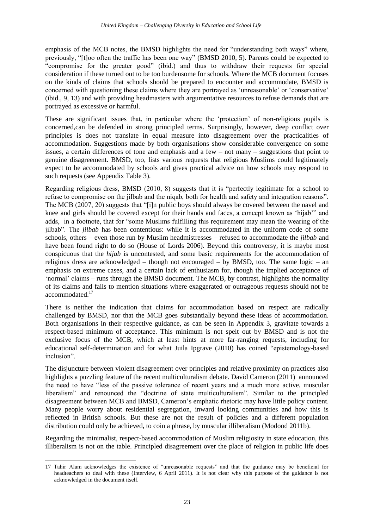emphasis of the MCB notes, the BMSD highlights the need for "understanding both ways" where, previously, "[t]oo often the traffic has been one way" (BMSD 2010, 5). Parents could be expected to "compromise for the greater good" (ibid.) and thus to withdraw their requests for special consideration if these turned out to be too burdensome for schools. Where the MCB document focuses on the kinds of claims that schools should be prepared to encounter and accommodate, BMSD is concerned with questioning these claims where they are portrayed as 'unreasonable' or 'conservative' (ibid., 9, 13) and with providing headmasters with argumentative resources to refuse demands that are portrayed as excessive or harmful.

These are significant issues that, in particular where the 'protection' of non-religious pupils is concerned,can be defended in strong principled terms. Surprisingly, however, deep conflict over principles is does not translate in equal measure into disagreement over the practicalities of accommodation. Suggestions made by both organisations show considerable convergence on some issues, a certain differences of tone and emphasis and a few – not many – suggestions that point to genuine disagreement. BMSD, too, lists various requests that religious Muslims could legitimately expect to be accommodated by schools and gives practical advice on how schools may respond to such requests (see Appendix Table 3).

Regarding religious dress, BMSD (2010, 8) suggests that it is "perfectly legitimate for a school to refuse to compromise on the jilbab and the niqab, both for health and safety and integration reasons". The MCB (2007, 20) suggests that "[i]n public boys should always be covered between the navel and knee and girls should be covered except for their hands and faces, a concept known as 'hijab'" and adds, in a footnote, that for "some Muslims fulfilling this requirement may mean the wearing of the jilbab". The *jilbab* has been contentious: while it is accommodated in the uniform code of some schools, others – even those run by Muslim headmistresses – refused to accommodate the *jilbab* and have been found right to do so (House of Lords 2006). Beyond this controversy, it is maybe most conspicuous that the *hijab* is uncontested, and some basic requirements for the accommodation of religious dress are acknowledged – though not encouraged – by BMSD, too. The same logic – an emphasis on extreme cases, and a certain lack of enthusiasm for, though the implied acceptance of 'normal' claims – runs through the BMSD document. The MCB, by contrast, highlights the normality of its claims and fails to mention situations where exaggerated or outrageous requests should not be accommodated.<sup>17</sup>

There is neither the indication that claims for accommodation based on respect are radically challenged by BMSD, nor that the MCB goes substantially beyond these ideas of accommodation. Both organisations in their respective guidance, as can be seen in Appendix 3, gravitate towards a respect-based minimum of acceptance. This minimum is not spelt out by BMSD and is not the exclusive focus of the MCB, which at least hints at more far-ranging requests, including for educational self-determination and for what Juila Ipgrave (2010) has coined "epistemology-based inclusion".

The disjuncture between violent disagreement over principles and relative proximity on practices also highlights a puzzling feature of the recent multiculturalism debate. David Cameron (2011) announced the need to have "less of the passive tolerance of recent years and a much more active, muscular liberalism" and renounced the "doctrine of state multiculturalism". Similar to the principled disagreement between MCB and BMSD, Cameron's emphatic rhetoric may have little policy content. Many people worry about residential segregation, inward looking communities and how this is reflected in British schools. But these are not the result of policies and a different population distribution could only be achieved, to coin a phrase, by muscular illiberalism (Modood 2011b).

Regarding the minimalist, respect-based accommodation of Muslim religiosity in state education, this illiberalism is not on the table. Principled disagreement over the place of religion in public life does

-

<sup>17</sup> Tahir Alam acknowledges the existence of "unreasonable requests" and that the guidance may be beneficial for headteachers to deal with these (Interview, 6 April 2011). It is not clear why this purpose of the guidance is not acknowledged in the document itself.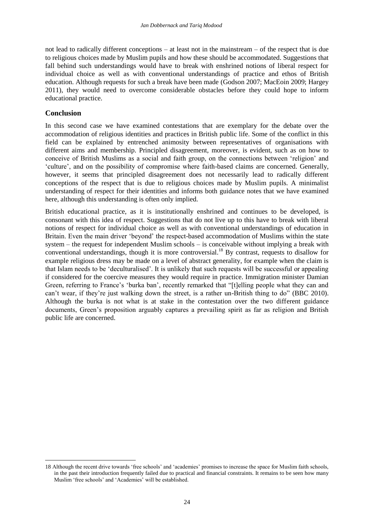not lead to radically different conceptions – at least not in the mainstream – of the respect that is due to religious choices made by Muslim pupils and how these should be accommodated. Suggestions that fall behind such understandings would have to break with enshrined notions of liberal respect for individual choice as well as with conventional understandings of practice and ethos of British education. Although requests for such a break have been made (Godson 2007; MacEoin 2009; Hargey 2011), they would need to overcome considerable obstacles before they could hope to inform educational practice.

#### <span id="page-35-0"></span>**Conclusion**

-

In this second case we have examined contestations that are exemplary for the debate over the accommodation of religious identities and practices in British public life. Some of the conflict in this field can be explained by entrenched animosity between representatives of organisations with different aims and membership. Principled disagreement, moreover, is evident, such as on how to conceive of British Muslims as a social and faith group, on the connections between 'religion' and 'culture', and on the possibility of compromise where faith-based claims are concerned. Generally, however, it seems that principled disagreement does not necessarily lead to radically different conceptions of the respect that is due to religious choices made by Muslim pupils. A minimalist understanding of respect for their identities and informs both guidance notes that we have examined here, although this understanding is often only implied.

British educational practice, as it is institutionally enshrined and continues to be developed, is consonant with this idea of respect. Suggestions that do not live up to this have to break with liberal notions of respect for individual choice as well as with conventional understandings of education in Britain. Even the main driver 'beyond' the respect-based accommodation of Muslims within the state system – the request for independent Muslim schools – is conceivable without implying a break with conventional understandings, though it is more controversial.<sup>18</sup> By contrast, requests to disallow for example religious dress may be made on a level of abstract generality, for example when the claim is that Islam needs to be 'deculturalised'. It is unlikely that such requests will be successful or appealing if considered for the coercive measures they would require in practice. Immigration minister Damian Green, referring to France's 'burka ban', recently remarked that "[t]elling people what they can and can't wear, if they're just walking down the street, is a rather un-British thing to do" (BBC 2010). Although the burka is not what is at stake in the contestation over the two different guidance documents, Green's proposition arguably captures a prevailing spirit as far as religion and British public life are concerned.

<sup>18</sup> Although the recent drive towards 'free schools' and 'academies' promises to increase the space for Muslim faith schools, in the past their introduction frequently failed due to practical and financial constraints. It remains to be seen how many Muslim 'free schools' and 'Academies' will be established.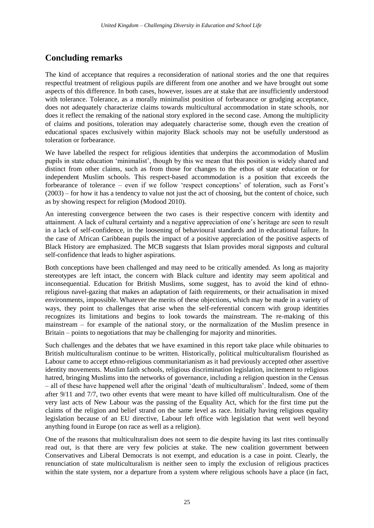# <span id="page-36-0"></span>**Concluding remarks**

The kind of acceptance that requires a reconsideration of national stories and the one that requires respectful treatment of religious pupils are different from one another and we have brought out some aspects of this difference. In both cases, however, issues are at stake that are insufficiently understood with tolerance. Tolerance, as a morally minimalist position of forbearance or grudging acceptance, does not adequately characterize claims towards multicultural accommodation in state schools, nor does it reflect the remaking of the national story explored in the second case. Among the multiplicity of claims and positions, toleration may adequately characterise some, though even the creation of educational spaces exclusively within majority Black schools may not be usefully understood as toleration or forbearance.

We have labelled the respect for religious identities that underpins the accommodation of Muslim pupils in state education 'minimalist', though by this we mean that this position is widely shared and distinct from other claims, such as from those for changes to the ethos of state education or for independent Muslim schools. This respect-based accommodation is a position that exceeds the forbearance of tolerance – even if we follow 'respect conceptions' of toleration, such as Forst's (2003) – for how it has a tendency to value not just the act of choosing, but the content of choice, such as by showing respect for religion (Modood 2010).

An interesting convergence between the two cases is their respective concern with identity and attainment. A lack of cultural certainty and a negative appreciation of one's heritage are seen to result in a lack of self-confidence, in the loosening of behavioural standards and in educational failure. In the case of African Caribbean pupils the impact of a positive appreciation of the positive aspects of Black History are emphasized. The MCB suggests that Islam provides moral signposts and cultural self-confidence that leads to higher aspirations.

Both conceptions have been challenged and may need to be critically amended. As long as majority stereotypes are left intact, the concern with Black culture and identity may seem apolitical and inconsequential. Education for British Muslims, some suggest, has to avoid the kind of ethnoreligious navel-gazing that makes an adaptation of faith requirements, or their actualisation in mixed environments, impossible. Whatever the merits of these objections, which may be made in a variety of ways, they point to challenges that arise when the self-referential concern with group identities recognizes its limitations and begins to look towards the mainstream. The re-making of this mainstream – for example of the national story, or the normalization of the Muslim presence in Britain – points to negotiations that may be challenging for majority and minorities.

Such challenges and the debates that we have examined in this report take place while obituaries to British multiculturalism continue to be written. Historically, political multiculturalism flourished as Labour came to accept ethno-religious communitarianism as it had previously accepted other assertive identity movements. Muslim faith schools, religious discrimination legislation, incitement to religious hatred, bringing Muslims into the networks of governance, including a religion question in the Census – all of these have happened well after the original 'death of multiculturalism'. Indeed, some of them after 9/11 and 7/7, two other events that were meant to have killed off multiculturalism. One of the very last acts of New Labour was the passing of the Equality Act, which for the first time put the claims of the religion and belief strand on the same level as race. Initially having religious equality legislation because of an EU directive, Labour left office with legislation that went well beyond anything found in Europe (on race as well as a religion).

One of the reasons that multiculturalism does not seem to die despite having its last rites continually read out, is that there are very few policies at stake. The new coalition government between Conservatives and Liberal Democrats is not exempt, and education is a case in point. Clearly, the renunciation of state multiculturalism is neither seen to imply the exclusion of religious practices within the state system, nor a departure from a system where religious schools have a place (in fact,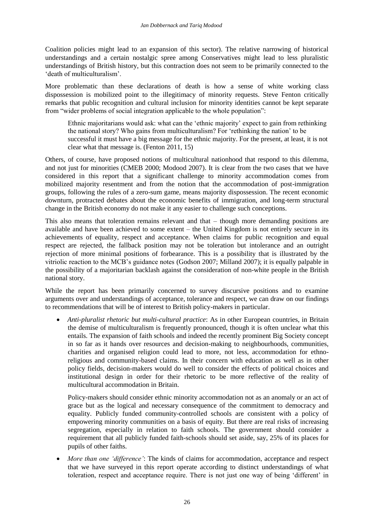Coalition policies might lead to an expansion of this sector). The relative narrowing of historical understandings and a certain nostalgic spree among Conservatives might lead to less pluralistic understandings of British history, but this contraction does not seem to be primarily connected to the 'death of multiculturalism'.

More problematic than these declarations of death is how a sense of white working class dispossession is mobilized point to the illegitimacy of minority requests. Steve Fenton critically remarks that public recognition and cultural inclusion for minority identities cannot be kept separate from "wider problems of social integration applicable to the whole population":

Ethnic majoritarians would ask: what can the 'ethnic majority' expect to gain from rethinking the national story? Who gains from multiculturalism? For 'rethinking the nation' to be successful it must have a big message for the ethnic majority. For the present, at least, it is not clear what that message is. (Fenton 2011, 15)

Others, of course, have proposed notions of multicultural nationhood that respond to this dilemma, and not just for minorities (CMEB 2000; Modood 2007). It is clear from the two cases that we have considered in this report that a significant challenge to minority accommodation comes from mobilized majority resentment and from the notion that the accommodation of post-immigration groups, following the rules of a zero-sum game, means majority dispossession. The recent economic downturn, protracted debates about the economic benefits of immigration, and long-term structural change in the British economy do not make it any easier to challenge such conceptions.

This also means that toleration remains relevant and that – though more demanding positions are available and have been achieved to some extent – the United Kingdom is not entirely secure in its achievements of equality, respect and acceptance. When claims for public recognition and equal respect are rejected, the fallback position may not be toleration but intolerance and an outright rejection of more minimal positions of forbearance. This is a possibility that is illustrated by the vitriolic reaction to the MCB's guidance notes (Godson 2007; Milland 2007); it is equally palpable in the possibility of a majoritarian backlash against the consideration of non-white people in the British national story.

While the report has been primarily concerned to survey discursive positions and to examine arguments over and understandings of acceptance, tolerance and respect, we can draw on our findings to recommendations that will be of interest to British policy-makers in particular.

 *Anti-pluralist rhetoric but multi-cultural practice*: As in other European countries, in Britain the demise of multiculturalism is frequently pronounced, though it is often unclear what this entails. The expansion of faith schools and indeed the recently prominent Big Society concept in so far as it hands over resources and decision-making to neighbourhoods, communities, charities and organised religion could lead to more, not less, accommodation for ethnoreligious and community-based claims. In their concern with education as well as in other policy fields, decision-makers would do well to consider the effects of political choices and institutional design in order for their rhetoric to be more reflective of the reality of multicultural accommodation in Britain.

Policy-makers should consider ethnic minority accommodation not as an anomaly or an act of grace but as the logical and necessary consequence of the commitment to democracy and equality. Publicly funded community-controlled schools are consistent with a policy of empowering minority communities on a basis of equity. But there are real risks of increasing segregation, especially in relation to faith schools. The government should consider a requirement that all publicly funded faith-schools should set aside, say, 25% of its places for pupils of other faiths.

 *More than one 'difference'*: The kinds of claims for accommodation, acceptance and respect that we have surveyed in this report operate according to distinct understandings of what toleration, respect and acceptance require. There is not just one way of being 'different' in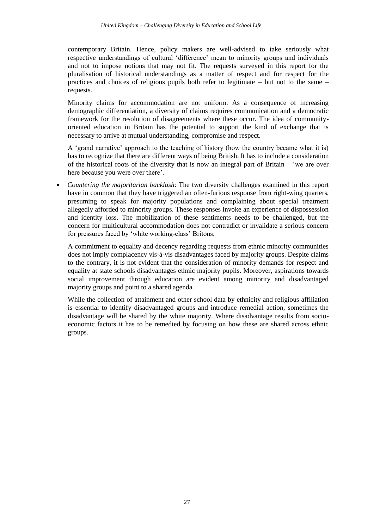contemporary Britain. Hence, policy makers are well-advised to take seriously what respective understandings of cultural 'difference' mean to minority groups and individuals and not to impose notions that may not fit. The requests surveyed in this report for the pluralisation of historical understandings as a matter of respect and for respect for the practices and choices of religious pupils both refer to legitimate – but not to the same – requests.

Minority claims for accommodation are not uniform. As a consequence of increasing demographic differentiation, a diversity of claims requires communication and a democratic framework for the resolution of disagreements where these occur. The idea of communityoriented education in Britain has the potential to support the kind of exchange that is necessary to arrive at mutual understanding, compromise and respect.

A 'grand narrative' approach to the teaching of history (how the country became what it is) has to recognize that there are different ways of being British. It has to include a consideration of the historical roots of the diversity that is now an integral part of Britain – 'we are over here because you were over there'.

 *Countering the majoritarian backlash*: The two diversity challenges examined in this report have in common that they have triggered an often-furious response from right-wing quarters, presuming to speak for majority populations and complaining about special treatment allegedly afforded to minority groups. These responses invoke an experience of dispossession and identity loss. The mobilization of these sentiments needs to be challenged, but the concern for multicultural accommodation does not contradict or invalidate a serious concern for pressures faced by 'white working-class' Britons.

A commitment to equality and decency regarding requests from ethnic minority communities does not imply complacency vis-à-vis disadvantages faced by majority groups. Despite claims to the contrary, it is not evident that the consideration of minority demands for respect and equality at state schools disadvantages ethnic majority pupils. Moreover, aspirations towards social improvement through education are evident among minority and disadvantaged majority groups and point to a shared agenda.

While the collection of attainment and other school data by ethnicity and religious affiliation is essential to identify disadvantaged groups and introduce remedial action, sometimes the disadvantage will be shared by the white majority. Where disadvantage results from socioeconomic factors it has to be remedied by focusing on how these are shared across ethnic groups.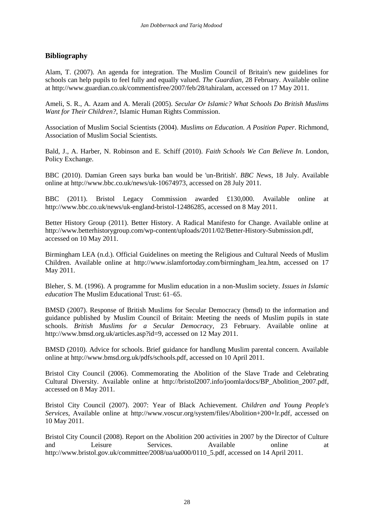# <span id="page-39-0"></span>**Bibliography**

Alam, T. (2007). An agenda for integration. The Muslim Council of Britain's new guidelines for schools can help pupils to feel fully and equally valued. *The Guardian*, 28 February. Available online at [http://www.guardian.co.uk/commentisfree/2007/feb/28/tahiralam,](http://www.guardian.co.uk/commentisfree/2007/feb/28/tahiralam) accessed on 17 May 2011.

Ameli, S. R., A. Azam and A. Merali (2005). *Secular Or Islamic? What Schools Do British Muslims Want for Their Children?*, Islamic Human Rights Commission.

Association of Muslim Social Scientists (2004). *Muslims on Education. A Position Paper*. Richmond, Association of Muslim Social Scientists.

Bald, J., A. Harber, N. Robinson and E. Schiff (2010). *Faith Schools We Can Believe In*. London, Policy Exchange.

BBC (2010). Damian Green says burka ban would be 'un-British'. *BBC News*, 18 July. Available online at [http://www.bbc.co.uk/news/uk-10674973,](http://www.bbc.co.uk/news/uk-10674973) accessed on 28 July 2011.

BBC (2011). Bristol Legacy Commission awarded £130,000. Available online at [http://www.bbc.co.uk/news/uk-england-bristol-12486285,](http://www.bbc.co.uk/news/uk-england-bristol-12486285) accessed on 8 May 2011.

Better History Group (2011). Better History. A Radical Manifesto for Change. Available online at [http://www.betterhistorygroup.com/wp-content/uploads/2011/02/Better-History-Submission.pdf,](http://www.betterhistorygroup.com/wp-content/uploads/2011/02/Better-History-Submission.pdf) accessed on 10 May 2011.

Birmingham LEA (n.d.). Official Guidelines on meeting the Religious and Cultural Needs of Muslim Children. Available online at [http://www.islamfortoday.com/birmingham\\_lea.htm,](http://www.islamfortoday.com/birmingham_lea.htm) accessed on 17 May 2011.

Bleher, S. M. (1996). A programme for Muslim education in a non-Muslim society. *Issues in Islamic education* The Muslim Educational Trust: 61–65.

BMSD (2007). Response of British Muslims for Secular Democracy (bmsd) to the information and guidance published by Muslim Council of Britain: Meeting the needs of Muslim pupils in state schools. *British Muslims for a Secular Democracy*, 23 February. Available online at [http://www.bmsd.org.uk/articles.asp?id=9,](http://www.bmsd.org.uk/articles.asp?id=9) accessed on 12 May 2011.

BMSD (2010). Advice for schools. Brief guidance for handlung Muslim parental concern. Available online at [http://www.bmsd.org.uk/pdfs/schools.pdf,](http://www.bmsd.org.uk/pdfs/schools.pdf) accessed on 10 April 2011.

Bristol City Council (2006). Commemorating the Abolition of the Slave Trade and Celebrating Cultural Diversity. Available online at [http://bristol2007.info/joomla/docs/BP\\_Abolition\\_2007.pdf,](http://bristol2007.info/joomla/docs/BP_Abolition_2007.pdf) accessed on 8 May 2011.

Bristol City Council (2007). 2007: Year of Black Achievement. *Children and Young People's Services*, Available online at [http://www.voscur.org/system/files/Abolition+200+lr.pdf,](http://www.voscur.org/system/files/Abolition+200+lr.pdf) accessed on 10 May 2011.

Bristol City Council (2008). Report on the Abolition 200 activities in 2007 by the Director of Culture and Leisure Services. Available online at [http://www.bristol.gov.uk/committee/2008/ua/ua000/0110\\_5.pdf,](http://www.bristol.gov.uk/committee/2008/ua/ua000/0110_5.pdf) accessed on 14 April 2011.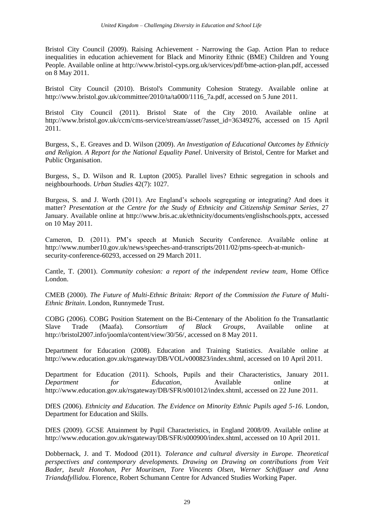Bristol City Council (2009). Raising Achievement - Narrowing the Gap. Action Plan to reduce inequalities in education achievement for Black and Minority Ethnic (BME) Children and Young People. Available online at [http://www.bristol-cyps.org.uk/services/pdf/bme-action-plan.pdf,](http://www.bristol-cyps.org.uk/services/pdf/bme-action-plan.pdf) accessed on 8 May 2011.

Bristol City Council (2010). Bristol's Community Cohesion Strategy. Available online at [http://www.bristol.gov.uk/committee/2010/ta/ta000/1116\\_7a.pdf,](http://www.bristol.gov.uk/committee/2010/ta/ta000/1116_7a.pdf) accessed on 5 June 2011.

Bristol City Council (2011). Bristol State of the City 2010. Available online at [http://www.bristol.gov.uk/ccm/cms-service/stream/asset/?asset\\_id=36349276,](http://www.bristol.gov.uk/ccm/cms-service/stream/asset/?asset_id=36349276) accessed on 15 April 2011.

Burgess, S., E. Greaves and D. Wilson (2009). *An Investigation of Educational Outcomes by Ethniciy and Religion. A Report for the National Equality Panel*. University of Bristol, Centre for Market and Public Organisation.

Burgess, S., D. Wilson and R. Lupton (2005). Parallel lives? Ethnic segregation in schools and neighbourhoods. *Urban Studies* 42(7): 1027.

Burgess, S. and J. Worth (2011). Are England's schools segregating or integrating? And does it matter? *Presentation at the Centre for the Study of Ethnicity and Citizenship Seminar Series*, 27 January. Available online at [http://www.bris.ac.uk/ethnicity/documents/englishschools.pptx,](http://www.bris.ac.uk/ethnicity/documents/englishschools.pptx) accessed on 10 May 2011.

Cameron, D. (2011). PM's speech at Munich Security Conference. Available online at [http://www.number10.gov.uk/news/speeches-and-transcripts/2011/02/pms-speech-at-munich](http://www.number10.gov.uk/news/speeches-and-transcripts/2011/02/pms-speech-at-munich-security-conference-60293)[security-conference-60293,](http://www.number10.gov.uk/news/speeches-and-transcripts/2011/02/pms-speech-at-munich-security-conference-60293) accessed on 29 March 2011.

Cantle, T. (2001). *Community cohesion: a report of the independent review team*, Home Office London.

CMEB (2000). *The Future of Multi-Ethnic Britain: Report of the Commission the Future of Multi-Ethnic Britain*. London, Runnymede Trust.

COBG (2006). COBG Position Statement on the Bi-Centenary of the Abolition fo the Transatlantic Slave Trade (Maafa). *Consortium of Black Groups*, Available online at [http://bristol2007.info/joomla/content/view/30/56/,](http://bristol2007.info/joomla/content/view/30/56/) accessed on 8 May 2011.

Department for Education (2008). Education and Training Statistics. Available online at [http://www.education.gov.uk/rsgateway/DB/VOL/v000823/index.shtml,](http://www.education.gov.uk/rsgateway/DB/VOL/v000823/index.shtml) accessed on 10 April 2011.

Department for Education (2011). Schools, Pupils and their Characteristics, January 2011. *Department for Education*, Available online at [http://www.education.gov.uk/rsgateway/DB/SFR/s001012/index.shtml,](http://www.education.gov.uk/rsgateway/DB/SFR/s001012/index.shtml) accessed on 22 June 2011.

DfES (2006). *Ethnicity and Education. The Evidence on Minority Ethnic Pupils aged 5-16*. London, Department for Education and Skills.

DfES (2009). GCSE Attainment by Pupil Characteristics, in England 2008/09. Available online at [http://www.education.gov.uk/rsgateway/DB/SFR/s000900/index.shtml,](http://www.education.gov.uk/rsgateway/DB/SFR/s000900/index.shtml) accessed on 10 April 2011.

Dobbernack, J. and T. Modood (2011). *Tolerance and cultural diversity in Europe. Theoretical perspectives and contemporary developments. Drawing on Drawing on contributions from Veit Bader, Iseult Honohan, Per Mouritsen, Tore Vincents Olsen, Werner Schiffauer and Anna Triandafyllidou*. Florence, Robert Schumann Centre for Advanced Studies Working Paper.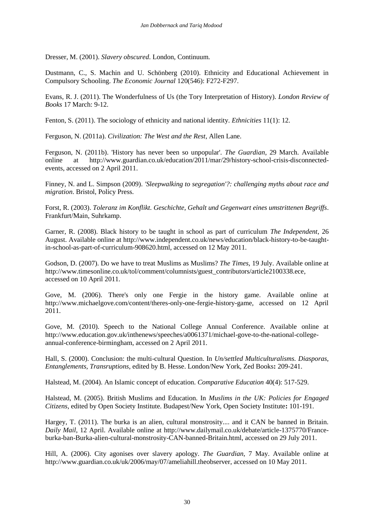Dresser, M. (2001). *Slavery obscured*. London, Continuum.

Dustmann, C., S. Machin and U. Schönberg (2010). Ethnicity and Educational Achievement in Compulsory Schooling. *The Economic Journal* 120(546): F272-F297.

Evans, R. J. (2011). The Wonderfulness of Us (the Tory Interpretation of History). *London Review of Books* 17 March: 9-12.

Fenton, S. (2011). The sociology of ethnicity and national identity. *Ethnicities* 11(1): 12.

Ferguson, N. (2011a). *Civilization: The West and the Rest*, Allen Lane.

Ferguson, N. (2011b). 'History has never been so unpopular'. *The Guardian*, 29 March. Available online at [http://www.guardian.co.uk/education/2011/mar/29/history-school-crisis-disconnected](http://www.guardian.co.uk/education/2011/mar/29/history-school-crisis-disconnected-events)[events,](http://www.guardian.co.uk/education/2011/mar/29/history-school-crisis-disconnected-events) accessed on 2 April 2011.

Finney, N. and L. Simpson (2009). *'Sleepwalking to segregation'?: challenging myths about race and migration*. Bristol, Policy Press.

Forst, R. (2003). *Toleranz im Konflikt. Geschichte, Gehalt und Gegenwart eines umstrittenen Begriffs*. Frankfurt/Main, Suhrkamp.

Garner, R. (2008). Black history to be taught in school as part of curriculum *The Independent*, 26 August. Available online at [http://www.independent.co.uk/news/education/black-history-to-be-taught](http://www.independent.co.uk/news/education/black-history-to-be-taught-in-school-as-part-of-curriculum-908620.html)[in-school-as-part-of-curriculum-908620.html,](http://www.independent.co.uk/news/education/black-history-to-be-taught-in-school-as-part-of-curriculum-908620.html) accessed on 12 May 2011.

Godson, D. (2007). Do we have to treat Muslims as Muslims? *The Times*, 19 July. Available online at [http://www.timesonline.co.uk/tol/comment/columnists/guest\\_contributors/article2100338.ece,](http://www.timesonline.co.uk/tol/comment/columnists/guest_contributors/article2100338.ece) accessed on 10 April 2011.

Gove, M. (2006). There's only one Fergie in the history game. Available online at [http://www.michaelgove.com/content/theres-only-one-fergie-history-game,](http://www.michaelgove.com/content/theres-only-one-fergie-history-game) accessed on 12 April 2011.

Gove, M. (2010). Speech to the National College Annual Conference. Available online at [http://www.education.gov.uk/inthenews/speeches/a0061371/michael-gove-to-the-national-college](http://www.education.gov.uk/inthenews/speeches/a0061371/michael-gove-to-the-national-college-annual-conference-birmingham)[annual-conference-birmingham,](http://www.education.gov.uk/inthenews/speeches/a0061371/michael-gove-to-the-national-college-annual-conference-birmingham) accessed on 2 April 2011.

Hall, S. (2000). Conclusion: the multi-cultural Question. In *Un/settled Multiculturalisms. Diasporas, Entanglements, Transruptions*, edited by B. Hesse. London/New York, Zed Books**:** 209-241.

Halstead, M. (2004). An Islamic concept of education. *Comparative Education* 40(4): 517-529.

Halstead, M. (2005). British Muslims and Education. In *Muslims in the UK: Policies for Engaged Citizens*, edited by Open Society Institute. Budapest/New York, Open Society Institute**:** 101-191.

Hargey, T. (2011). The burka is an alien, cultural monstrosity.... and it CAN be banned in Britain. *Daily Mail*, 12 April. Available online at [http://www.dailymail.co.uk/debate/article-1375770/France](http://www.dailymail.co.uk/debate/article-1375770/France-burka-ban-Burka-alien-cultural-monstrosity-CAN-banned-Britain.html)[burka-ban-Burka-alien-cultural-monstrosity-CAN-banned-Britain.html,](http://www.dailymail.co.uk/debate/article-1375770/France-burka-ban-Burka-alien-cultural-monstrosity-CAN-banned-Britain.html) accessed on 29 July 2011.

Hill, A. (2006). City agonises over slavery apology. *The Guardian*, 7 May. Available online at [http://www.guardian.co.uk/uk/2006/may/07/ameliahill.theobserver,](http://www.guardian.co.uk/uk/2006/may/07/ameliahill.theobserver) accessed on 10 May 2011.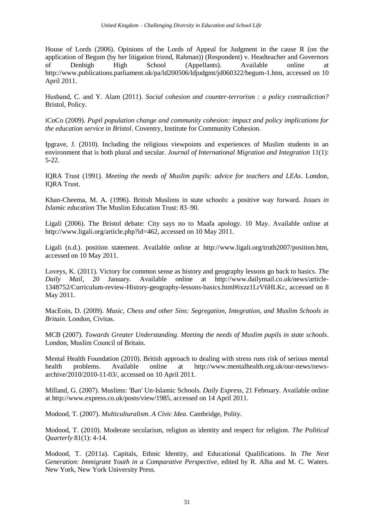House of Lords (2006). Opinions of the Lords of Appeal for Judgment in the cause R (on the application of Begum (by her litigation friend, Rahman)) (Respondent) v. Headteacher and Governors of Denbigh High School (Appellants). Available online at [http://www.publications.parliament.uk/pa/ld200506/ldjudgmt/jd060322/begum-1.htm,](http://www.publications.parliament.uk/pa/ld200506/ldjudgmt/jd060322/begum-1.htm) accessed on 10 April 2011.

Husband, C. and Y. Alam (2011). *Social cohesion and counter-terrorism : a policy contradiction?* Bristol, Policy.

iCoCo (2009). *Pupil population change and community cohesion: impact and policy implications for the education service in Bristol*. Coventry, Institute for Community Cohesion.

Ipgrave, J. (2010). Including the religious viewpoints and experiences of Muslim students in an environment that is both plural and secular. *Journal of International Migration and Integration* 11(1): 5-22.

IQRA Trust (1991). *Meeting the needs of Muslim pupils: advice for teachers and LEAs*. London, IQRA Trust.

Khan-Cheema, M. A. (1996). British Muslims in state schools: a positive way forward. *Issues in Islamic education* The Muslim Education Trust: 83–90.

Ligali (2006). The Bristol debate: City says no to Maafa apology. 10 May. Available online at [http://www.ligali.org/article.php?id=462,](http://www.ligali.org/article.php?id=462) accessed on 10 May 2011.

Ligali (n.d.). position statement. Available online at [http://www.ligali.org/truth2007/position.htm,](http://www.ligali.org/truth2007/position.htm) accessed on 10 May 2011.

Loveys, K. (2011). Victory for common sense as history and geography lessons go back to basics. *The Daily Mail*, 20 January. Available online at [http://www.dailymail.co.uk/news/article-](http://www.dailymail.co.uk/news/article-1348752/Curriculum-review-History-geography-lessons-basics.html#ixzz1LrV6HLKc)[1348752/Curriculum-review-History-geography-lessons-basics.html#ixzz1LrV6HLKc,](http://www.dailymail.co.uk/news/article-1348752/Curriculum-review-History-geography-lessons-basics.html#ixzz1LrV6HLKc) accessed on 8 May 2011.

MacEoin, D. (2009). *Music, Chess and other Sins: Segregation, Integration, and Muslim Schools in Britain*. London, Civitas.

MCB (2007). *Towards Greater Understanding. Meeting the needs of Muslim pupils in state schools*. London, Muslim Council of Britain.

Mental Health Foundation (2010). British approach to dealing with stress runs risk of serious mental health problems. Available online at [http://www.mentalhealth.org.uk/our-news/news](http://www.mentalhealth.org.uk/our-news/news-archive/2010/2010-11-03/)[archive/2010/2010-11-03/,](http://www.mentalhealth.org.uk/our-news/news-archive/2010/2010-11-03/) accessed on 10 April 2011.

Milland, G. (2007). Muslims: 'Ban' Un-Islamic Schools. *Daily Express*, 21 February. Available online at [http://www.express.co.uk/posts/view/1985,](http://www.express.co.uk/posts/view/1985) accessed on 14 April 2011.

Modood, T. (2007). *Multiculturalism. A Civic Idea*. Cambridge, Polity.

Modood, T. (2010). Moderate secularism, religion as identity and respect for religion. *The Political Quarterly* 81(1): 4-14.

Modood, T. (2011a). Capitals, Ethnic Identity, and Educational Qualifications. In *The Next Generation: Immigrant Youth in a Comparative Perspective*, edited by R. Alba and M. C. Waters. New York, New York University Press.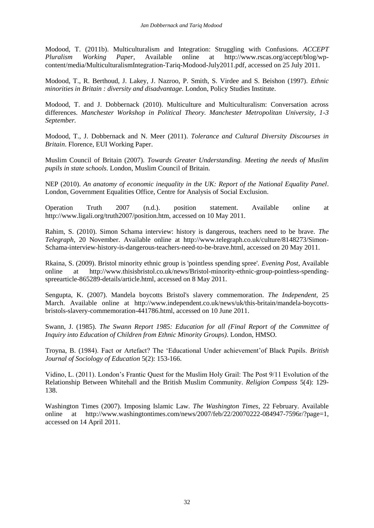Modood, T. (2011b). Multiculturalism and Integration: Struggling with Confusions. *ACCEPT Pluralism Working Paper*, Available online at [http://www.rscas.org/accept/blog/wp](http://www.rscas.org/accept/blog/wp-content/media/MulticulturalismIntegration-Tariq-Modood-July2011.pdf)[content/media/MulticulturalismIntegration-Tariq-Modood-July2011.pdf,](http://www.rscas.org/accept/blog/wp-content/media/MulticulturalismIntegration-Tariq-Modood-July2011.pdf) accessed on 25 July 2011.

Modood, T., R. Berthoud, J. Lakey, J. Nazroo, P. Smith, S. Virdee and S. Beishon (1997). *Ethnic minorities in Britain : diversity and disadvantage*. London, Policy Studies Institute.

Modood, T. and J. Dobbernack (2010). Multiculture and Multiculturalism: Conversation across differences. *Manchester Workshop in Political Theory. Manchester Metropolitan University, 1-3 September.*

Modood, T., J. Dobbernack and N. Meer (2011). *Tolerance and Cultural Diversity Discourses in Britain*. Florence, EUI Working Paper.

Muslim Council of Britain (2007). *Towards Greater Understanding. Meeting the needs of Muslim pupils in state schools*. London, Muslim Council of Britain.

NEP (2010). *An anatomy of economic inequality in the UK: Report of the National Equality Panel*. London, Government Equalities Office, Centre for Analysis of Social Exclusion.

Operation Truth 2007 (n.d.). position statement. Available online at [http://www.ligali.org/truth2007/position.htm,](http://www.ligali.org/truth2007/position.htm) accessed on 10 May 2011.

Rahim, S. (2010). Simon Schama interview: history is dangerous, teachers need to be brave. *The Telegraph*, 20 November. Available online at [http://www.telegraph.co.uk/culture/8148273/Simon-](http://www.telegraph.co.uk/culture/8148273/Simon-Schama-interview-history-is-dangerous-teachers-need-to-be-brave.html)[Schama-interview-history-is-dangerous-teachers-need-to-be-brave.html,](http://www.telegraph.co.uk/culture/8148273/Simon-Schama-interview-history-is-dangerous-teachers-need-to-be-brave.html) accessed on 20 May 2011.

Rkaina, S. (2009). Bristol minority ethnic group is 'pointless spending spree'. *Evening Post*, Available online at [http://www.thisisbristol.co.uk/news/Bristol-minority-ethnic-group-pointless-spending](http://www.thisisbristol.co.uk/news/Bristol-minority-ethnic-group-pointless-spending-spreearticle-865289-details/article.html)[spreearticle-865289-details/article.html,](http://www.thisisbristol.co.uk/news/Bristol-minority-ethnic-group-pointless-spending-spreearticle-865289-details/article.html) accessed on 8 May 2011.

Sengupta, K. (2007). Mandela boycotts Bristol's slavery commemoration. *The Independent*, 25 March. Available online at [http://www.independent.co.uk/news/uk/this-britain/mandela-boycotts](http://www.independent.co.uk/news/uk/this-britain/mandela-boycotts-bristols-slavery-commemoration-441786.html)[bristols-slavery-commemoration-441786.html,](http://www.independent.co.uk/news/uk/this-britain/mandela-boycotts-bristols-slavery-commemoration-441786.html) accessed on 10 June 2011.

Swann, J. (1985). *The Swann Report 1985: Education for all (Final Report of the Committee of Inquiry into Education of Children from Ethnic Minority Groups)*. London, HMSO.

Troyna, B. (1984). Fact or Artefact? The 'Educational Under achievement'of Black Pupils. *British Journal of Sociology of Education* 5(2): 153-166.

Vidino, L. (2011). London's Frantic Quest for the Muslim Holy Grail: The Post 9/11 Evolution of the Relationship Between Whitehall and the British Muslim Community. *Religion Compass* 5(4): 129- 138.

Washington Times (2007). Imposing Islamic Law. *The Washington Times*, 22 February. Available online at [http://www.washingtontimes.com/news/2007/feb/22/20070222-084947-7596r/?page=1,](http://www.washingtontimes.com/news/2007/feb/22/20070222-084947-7596r/?page=1) accessed on 14 April 2011.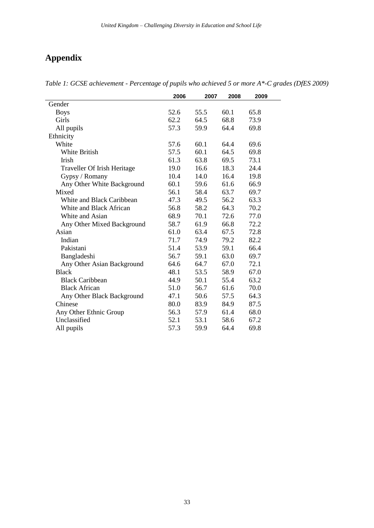# <span id="page-44-0"></span>**Appendix**

|                             | 2006 | 2007 | 2008 | 2009 |
|-----------------------------|------|------|------|------|
| Gender                      |      |      |      |      |
| <b>Boys</b>                 | 52.6 | 55.5 | 60.1 | 65.8 |
| Girls                       | 62.2 | 64.5 | 68.8 | 73.9 |
| All pupils                  | 57.3 | 59.9 | 64.4 | 69.8 |
| Ethnicity                   |      |      |      |      |
| White                       | 57.6 | 60.1 | 64.4 | 69.6 |
| White British               | 57.5 | 60.1 | 64.5 | 69.8 |
| Irish                       | 61.3 | 63.8 | 69.5 | 73.1 |
| Traveller Of Irish Heritage | 19.0 | 16.6 | 18.3 | 24.4 |
| Gypsy / Romany              | 10.4 | 14.0 | 16.4 | 19.8 |
| Any Other White Background  | 60.1 | 59.6 | 61.6 | 66.9 |
| Mixed                       | 56.1 | 58.4 | 63.7 | 69.7 |
| White and Black Caribbean   | 47.3 | 49.5 | 56.2 | 63.3 |
| White and Black African     | 56.8 | 58.2 | 64.3 | 70.2 |
| White and Asian             | 68.9 | 70.1 | 72.6 | 77.0 |
| Any Other Mixed Background  | 58.7 | 61.9 | 66.8 | 72.2 |
| Asian                       | 61.0 | 63.4 | 67.5 | 72.8 |
| Indian                      | 71.7 | 74.9 | 79.2 | 82.2 |
| Pakistani                   | 51.4 | 53.9 | 59.1 | 66.4 |
| Bangladeshi                 | 56.7 | 59.1 | 63.0 | 69.7 |
| Any Other Asian Background  | 64.6 | 64.7 | 67.0 | 72.1 |
| <b>Black</b>                | 48.1 | 53.5 | 58.9 | 67.0 |
| <b>Black Caribbean</b>      | 44.9 | 50.1 | 55.4 | 63.2 |
| <b>Black African</b>        | 51.0 | 56.7 | 61.6 | 70.0 |
| Any Other Black Background  | 47.1 | 50.6 | 57.5 | 64.3 |
| Chinese                     | 80.0 | 83.9 | 84.9 | 87.5 |
| Any Other Ethnic Group      | 56.3 | 57.9 | 61.4 | 68.0 |
| Unclassified                | 52.1 | 53.1 | 58.6 | 67.2 |
| All pupils                  | 57.3 | 59.9 | 64.4 | 69.8 |

*Table 1: GCSE achievement - Percentage of pupils who achieved 5 or more A\*-C grades (DfES 2009)*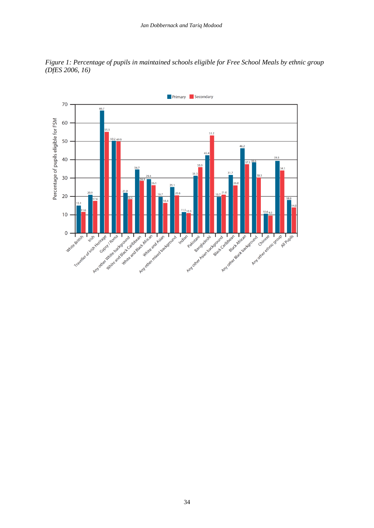

*Figure 1: Percentage of pupils in maintained schools eligible for Free School Meals by ethnic group (DfES 2006, 16)*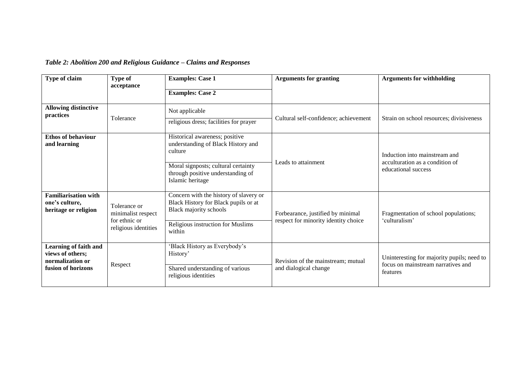# *Table 2: Abolition 200 and Religious Guidance – Claims and Responses*

| Type of claim                                                                       | <b>Type of</b><br>acceptance                                                | <b>Examples: Case 1</b>                                                                                                                                 | <b>Arguments for granting</b>                                             | <b>Arguments for withholding</b>                                                             |
|-------------------------------------------------------------------------------------|-----------------------------------------------------------------------------|---------------------------------------------------------------------------------------------------------------------------------------------------------|---------------------------------------------------------------------------|----------------------------------------------------------------------------------------------|
|                                                                                     |                                                                             | <b>Examples: Case 2</b>                                                                                                                                 |                                                                           |                                                                                              |
| <b>Allowing distinctive</b><br>practices                                            |                                                                             | Not applicable                                                                                                                                          |                                                                           |                                                                                              |
|                                                                                     | Tolerance                                                                   | religious dress; facilities for prayer                                                                                                                  | Cultural self-confidence; achievement                                     | Strain on school resources; divisiveness                                                     |
| <b>Ethos of behaviour</b><br>and learning                                           |                                                                             | Historical awareness; positive<br>understanding of Black History and<br>culture                                                                         | Leads to attainment                                                       | Induction into mainstream and<br>acculturation as a condition of<br>educational success      |
|                                                                                     |                                                                             | Moral signposts; cultural certainty<br>through positive understanding of<br>Islamic heritage                                                            |                                                                           |                                                                                              |
| <b>Familiarisation with</b><br>one's culture,<br>heritage or religion               | Tolerance or<br>minimalist respect<br>for ethnic or<br>religious identities | Concern with the history of slavery or<br>Black History for Black pupils or at<br>Black majority schools<br>Religious instruction for Muslims<br>within | Forbearance, justified by minimal<br>respect for minority identity choice | Fragmentation of school populations;<br>'culturalism'                                        |
| Learning of faith and<br>views of others;<br>normalization or<br>fusion of horizons | Respect                                                                     | 'Black History as Everybody's<br>History'<br>Shared understanding of various<br>religious identities                                                    | Revision of the mainstream; mutual<br>and dialogical change               | Uninteresting for majority pupils; need to<br>focus on mainstream narratives and<br>features |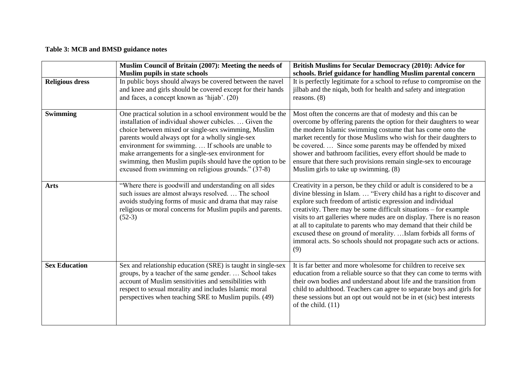# **Table 3: MCB and BMSD guidance notes**

|                        | Muslim Council of Britain (2007): Meeting the needs of                                                                                                                                                                                                                                                                                                                                                                                                            | British Muslims for Secular Democracy (2010): Advice for                                                                                                                                                                                                                                                                                                                                                                                                                                                                                                                        |
|------------------------|-------------------------------------------------------------------------------------------------------------------------------------------------------------------------------------------------------------------------------------------------------------------------------------------------------------------------------------------------------------------------------------------------------------------------------------------------------------------|---------------------------------------------------------------------------------------------------------------------------------------------------------------------------------------------------------------------------------------------------------------------------------------------------------------------------------------------------------------------------------------------------------------------------------------------------------------------------------------------------------------------------------------------------------------------------------|
|                        | <b>Muslim pupils in state schools</b>                                                                                                                                                                                                                                                                                                                                                                                                                             | schools. Brief guidance for handling Muslim parental concern                                                                                                                                                                                                                                                                                                                                                                                                                                                                                                                    |
| <b>Religious dress</b> | In public boys should always be covered between the navel<br>and knee and girls should be covered except for their hands<br>and faces, a concept known as 'hijab'. (20)                                                                                                                                                                                                                                                                                           | It is perfectly legitimate for a school to refuse to compromise on the<br>jilbab and the niqab, both for health and safety and integration<br>reasons. $(8)$                                                                                                                                                                                                                                                                                                                                                                                                                    |
| <b>Swimming</b>        | One practical solution in a school environment would be the<br>installation of individual shower cubicles.  Given the<br>choice between mixed or single-sex swimming, Muslim<br>parents would always opt for a wholly single-sex<br>environment for swimming.  If schools are unable to<br>make arrangements for a single-sex environment for<br>swimming, then Muslim pupils should have the option to be<br>excused from swimming on religious grounds." (37-8) | Most often the concerns are that of modesty and this can be<br>overcome by offering parents the option for their daughters to wear<br>the modern Islamic swimming costume that has come onto the<br>market recently for those Muslims who wish for their daughters to<br>be covered.  Since some parents may be offended by mixed<br>shower and bathroom facilities, every effort should be made to<br>ensure that there such provisions remain single-sex to encourage<br>Muslim girls to take up swimming. (8)                                                                |
| <b>Arts</b>            | "Where there is goodwill and understanding on all sides<br>such issues are almost always resolved.  The school<br>avoids studying forms of music and drama that may raise<br>religious or moral concerns for Muslim pupils and parents.<br>$(52-3)$                                                                                                                                                                                                               | Creativity in a person, be they child or adult is considered to be a<br>divine blessing in Islam.  "Every child has a right to discover and<br>explore such freedom of artistic expression and individual<br>creativity. There may be some difficult situations – for example<br>visits to art galleries where nudes are on display. There is no reason<br>at all to capitulate to parents who may demand that their child be<br>excused these on ground of morality.  Islam forbids all forms of<br>immoral acts. So schools should not propagate such acts or actions.<br>(9) |
| <b>Sex Education</b>   | Sex and relationship education (SRE) is taught in single-sex<br>groups, by a teacher of the same gender.  School takes<br>account of Muslim sensitivities and sensibilities with<br>respect to sexual morality and includes Islamic moral<br>perspectives when teaching SRE to Muslim pupils. (49)                                                                                                                                                                | It is far better and more wholesome for children to receive sex<br>education from a reliable source so that they can come to terms with<br>their own bodies and understand about life and the transition from<br>child to adulthood. Teachers can agree to separate boys and girls for<br>these sessions but an opt out would not be in et (sic) best interests<br>of the child. $(11)$                                                                                                                                                                                         |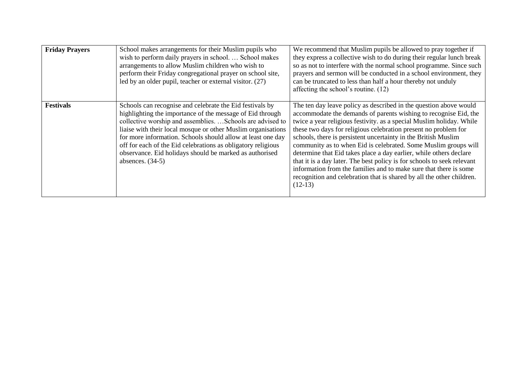| <b>Friday Prayers</b> | School makes arrangements for their Muslim pupils who<br>wish to perform daily prayers in school School makes<br>arrangements to allow Muslim children who wish to<br>perform their Friday congregational prayer on school site,<br>led by an older pupil, teacher or external visitor. (27)                                                                                                                                                                        | We recommend that Muslim pupils be allowed to pray together if<br>they express a collective wish to do during their regular lunch break<br>so as not to interfere with the normal school programme. Since such<br>prayers and sermon will be conducted in a school environment, they<br>can be truncated to less than half a hour thereby not unduly<br>affecting the school's routine. (12)                                                                                                                                                                                                                                                                                                                                      |
|-----------------------|---------------------------------------------------------------------------------------------------------------------------------------------------------------------------------------------------------------------------------------------------------------------------------------------------------------------------------------------------------------------------------------------------------------------------------------------------------------------|-----------------------------------------------------------------------------------------------------------------------------------------------------------------------------------------------------------------------------------------------------------------------------------------------------------------------------------------------------------------------------------------------------------------------------------------------------------------------------------------------------------------------------------------------------------------------------------------------------------------------------------------------------------------------------------------------------------------------------------|
| <b>Festivals</b>      | Schools can recognise and celebrate the Eid festivals by<br>highlighting the importance of the message of Eid through<br>collective worship and assemblies.  Schools are advised to<br>liaise with their local mosque or other Muslim organisations<br>for more information. Schools should allow at least one day<br>off for each of the Eid celebrations as obligatory religious<br>observance. Eid holidays should be marked as authorised<br>absences. $(34-5)$ | The ten day leave policy as described in the question above would<br>accommodate the demands of parents wishing to recognise Eid, the<br>twice a year religious festivity. as a special Muslim holiday. While<br>these two days for religious celebration present no problem for<br>schools, there is persistent uncertainty in the British Muslim<br>community as to when Eid is celebrated. Some Muslim groups will<br>determine that Eid takes place a day earlier, while others declare<br>that it is a day later. The best policy is for schools to seek relevant<br>information from the families and to make sure that there is some<br>recognition and celebration that is shared by all the other children.<br>$(12-13)$ |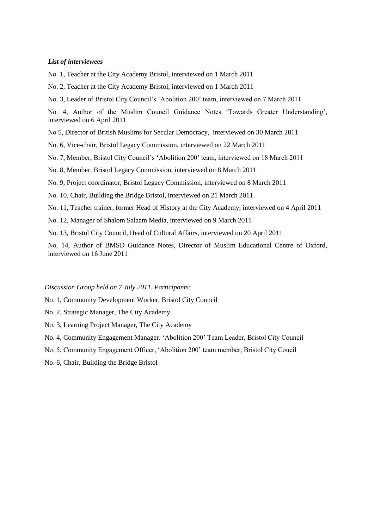#### *List of interviewees*

No. 1, Teacher at the City Academy Bristol, interviewed on 1 March 2011

No. 2, Teacher at the City Academy Bristol, interviewed on 1 March 2011

No. 3, Leader of Bristol City Council's 'Abolition 200' team, interviewed on 7 March 2011

No. 4, Author of the Muslim Council Guidance Notes 'Towards Greater Understanding', interviewed on 6 April 2011

No 5, Director of British Muslims for Secular Democracy, interviewed on 30 March 2011

No. 6, Vice-chair, Bristol Legacy Commission, interviewed on 22 March 2011

No. 7, Member, Bristol City Council's 'Abolition 200' team, interviewed on 18 March 2011

No. 8, Member, Bristol Legacy Commission, interviewed on 8 March 2011

No. 9, Project coordinator, Bristol Legacy Commission, interviewed on 8 March 2011

No. 10, Chair, Building the Bridge Bristol, interviewed on 21 March 2011

No. 11, Teacher trainer, former Head of History at the City Academy, interviewed on 4 April 2011

No. 12, Manager of Shalom Salaam Media, interviewed on 9 March 2011

No. 13, Bristol City Council, Head of Cultural Affairs, interviewed on 20 April 2011

No. 14, Author of BMSD Guidance Notes, Director of Muslim Educational Centre of Oxford, interviewed on 16 June 2011

*Discussion Group held on 7 July 2011. Participants:*

No. 1, Community Development Worker, Bristol City Council

- No. 2, Strategic Manager, The City Academy
- No. 3, Learning Project Manager, The City Academy
- No. 4, Community Engagement Manager. 'Abolition 200' Team Leader, Bristol City Council
- No. 5, Community Engagement Officer, 'Abolition 200' team member, Bristol City Coucil
- No. 6, Chair, Building the Bridge Bristol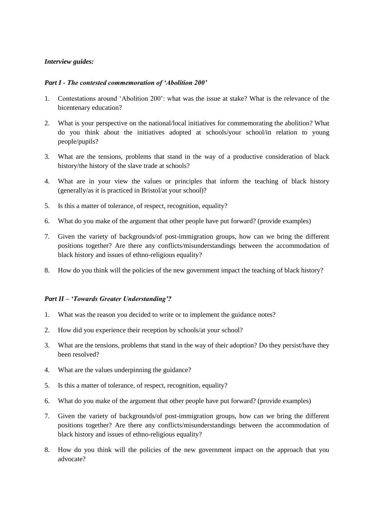#### *Interview guides:*

#### *Part I - The contested commemoration of 'Abolition 200'*

- 1. Contestations around 'Abolition 200': what was the issue at stake? What is the relevance of the bicentenary education?
- 2. What is your perspective on the national/local initiatives for commemorating the abolition? What do you think about the initiatives adopted at schools/your school/in relation to young people/pupils?
- 3. What are the tensions, problems that stand in the way of a productive consideration of black history/the history of the slave trade at schools?
- 4. What are in your view the values or principles that inform the teaching of black history (generally/as it is practiced in Bristol/at your school)?
- 5. Is this a matter of tolerance, of respect, recognition, equality?
- 6. What do you make of the argument that other people have put forward? (provide examples)
- 7. Given the variety of backgrounds/of post-immigration groups, how can we bring the different positions together? Are there any conflicts/misunderstandings between the accommodation of black history and issues of ethno-religious equality?
- 8. How do you think will the policies of the new government impact the teaching of black history?

#### *Part II – 'Towards Greater Understanding'?*

- 1. What was the reason you decided to write or to implement the guidance notes?
- 2. How did you experience their reception by schools/at your school?
- 3. What are the tensions, problems that stand in the way of their adoption? Do they persist/have they been resolved?
- 4. What are the values underpinning the guidance?
- 5. Is this a matter of tolerance, of respect, recognition, equality?
- 6. What do you make of the argument that other people have put forward? (provide examples)
- 7. Given the variety of backgrounds/of post-immigration groups, how can we bring the different positions together? Are there any conflicts/misunderstandings between the accommodation of black history and issues of ethno-religious equality?
- 8. How do you think will the policies of the new government impact on the approach that you advocate?